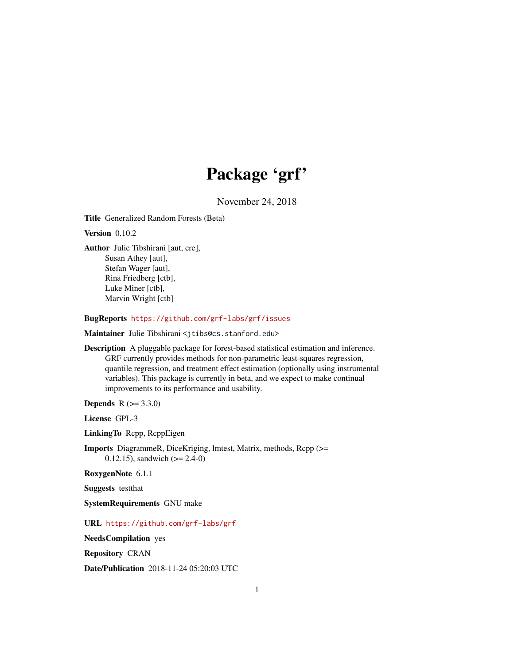# Package 'grf'

November 24, 2018

Title Generalized Random Forests (Beta)

Version 0.10.2

Author Julie Tibshirani [aut, cre], Susan Athey [aut], Stefan Wager [aut], Rina Friedberg [ctb], Luke Miner [ctb], Marvin Wright [ctb]

BugReports <https://github.com/grf-labs/grf/issues>

Maintainer Julie Tibshirani <jtibs@cs.stanford.edu>

Description A pluggable package for forest-based statistical estimation and inference. GRF currently provides methods for non-parametric least-squares regression, quantile regression, and treatment effect estimation (optionally using instrumental variables). This package is currently in beta, and we expect to make continual improvements to its performance and usability.

**Depends**  $R (= 3.3.0)$ 

License GPL-3

LinkingTo Rcpp, RcppEigen

Imports DiagrammeR, DiceKriging, lmtest, Matrix, methods, Rcpp (>= 0.12.15), sandwich  $(>= 2.4-0)$ 

RoxygenNote 6.1.1

Suggests testthat

SystemRequirements GNU make

URL <https://github.com/grf-labs/grf>

NeedsCompilation yes

Repository CRAN

Date/Publication 2018-11-24 05:20:03 UTC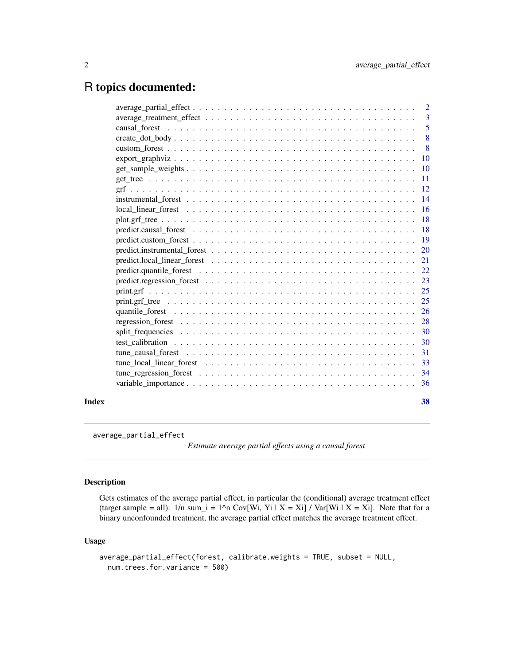# <span id="page-1-0"></span>R topics documented:

|       | $average\_partial\_effect \dots \dots \dots \dots \dots \dots \dots \dots \dots \dots \dots \dots \dots \dots$  | $\overline{2}$            |
|-------|-----------------------------------------------------------------------------------------------------------------|---------------------------|
|       |                                                                                                                 |                           |
|       |                                                                                                                 | $\overline{5}$            |
|       |                                                                                                                 | $\overline{\phantom{0}}8$ |
|       |                                                                                                                 | $\overline{\phantom{0}}8$ |
|       |                                                                                                                 |                           |
|       |                                                                                                                 |                           |
|       |                                                                                                                 |                           |
|       |                                                                                                                 |                           |
|       |                                                                                                                 |                           |
|       |                                                                                                                 |                           |
|       |                                                                                                                 |                           |
|       |                                                                                                                 |                           |
|       |                                                                                                                 |                           |
|       |                                                                                                                 |                           |
|       | predict.local linear forest $\ldots \ldots \ldots \ldots \ldots \ldots \ldots \ldots \ldots \ldots \ldots$      |                           |
|       |                                                                                                                 |                           |
|       |                                                                                                                 |                           |
|       |                                                                                                                 |                           |
|       |                                                                                                                 |                           |
|       |                                                                                                                 |                           |
|       |                                                                                                                 |                           |
|       |                                                                                                                 |                           |
|       |                                                                                                                 |                           |
|       | tune causal forest $\ldots \ldots \ldots \ldots \ldots \ldots \ldots \ldots \ldots \ldots \ldots \ldots \ldots$ | 31                        |
|       |                                                                                                                 |                           |
|       |                                                                                                                 |                           |
|       |                                                                                                                 |                           |
| Index |                                                                                                                 | 38                        |

average\_partial\_effect

*Estimate average partial effects using a causal forest*

# Description

Gets estimates of the average partial effect, in particular the (conditional) average treatment effect (target.sample = all):  $1/n$  sum\_i =  $1^n$ n Cov[Wi, Yi | X = Xi] / Var[Wi | X = Xi]. Note that for a binary unconfounded treatment, the average partial effect matches the average treatment effect.

# Usage

```
average_partial_effect(forest, calibrate.weights = TRUE, subset = NULL,
 num.trees.for.variance = 500)
```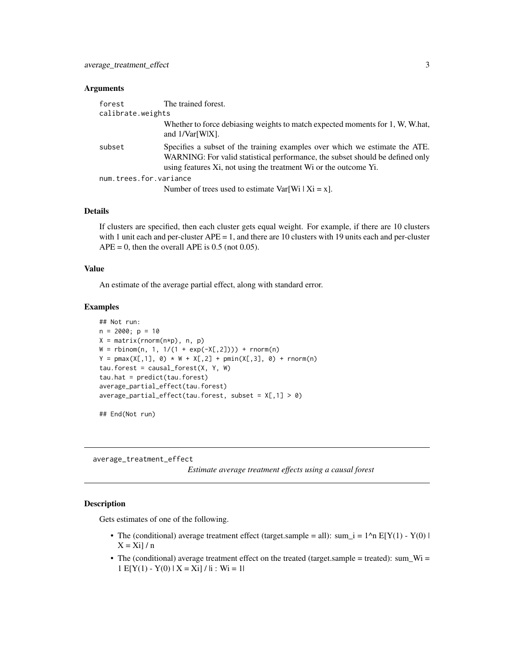#### <span id="page-2-0"></span>**Arguments**

| forest                 | The trained forest.                                                                                                                                                                                                              |
|------------------------|----------------------------------------------------------------------------------------------------------------------------------------------------------------------------------------------------------------------------------|
| calibrate.weights      |                                                                                                                                                                                                                                  |
|                        | Whether to force debiasing weights to match expected moments for 1, W, W.hat,<br>and $1/\text{Var}[W X]$ .                                                                                                                       |
| subset                 | Specifies a subset of the training examples over which we estimate the ATE.<br>WARNING: For valid statistical performance, the subset should be defined only<br>using features Xi, not using the treatment Wi or the outcome Yi. |
| num.trees.for.variance |                                                                                                                                                                                                                                  |
|                        | Number of trees used to estimate $Var[Wi   Ki = x]$ .                                                                                                                                                                            |

# Details

If clusters are specified, then each cluster gets equal weight. For example, if there are 10 clusters with 1 unit each and per-cluster APE = 1, and there are 10 clusters with 19 units each and per-cluster  $APE = 0$ , then the overall APE is 0.5 (not 0.05).

# Value

An estimate of the average partial effect, along with standard error.

#### Examples

```
## Not run:
n = 2000; p = 10X = matrix(rnorm(n*p), n, p)W = rbinom(n, 1, 1/(1 + exp(-X[,2]))) + rnorm(n)
Y = pmax(X[, 1], 0) * W + X[, 2] + pmin(X[, 3], 0) + rnorm(n)tau.forest = causal_forest(X, Y, W)tau.hat = predict(tau.forest)
average_partial_effect(tau.forest)
average\_partial\_effect(tau.forest, subset = X[, 1] > 0
```
## End(Not run)

average\_treatment\_effect

*Estimate average treatment effects using a causal forest*

#### Description

Gets estimates of one of the following.

- The (conditional) average treatment effect (target.sample = all): sum\_i =  $1^{\circ}n E[Y(1) Y(0)]$  $X = X_i$ ] / n
- The (conditional) average treatment effect on the treated (target.sample = treated): sum\_Wi =  $1 E[Y(1) - Y(0) | X = Xi] / |i : Wi = 1|$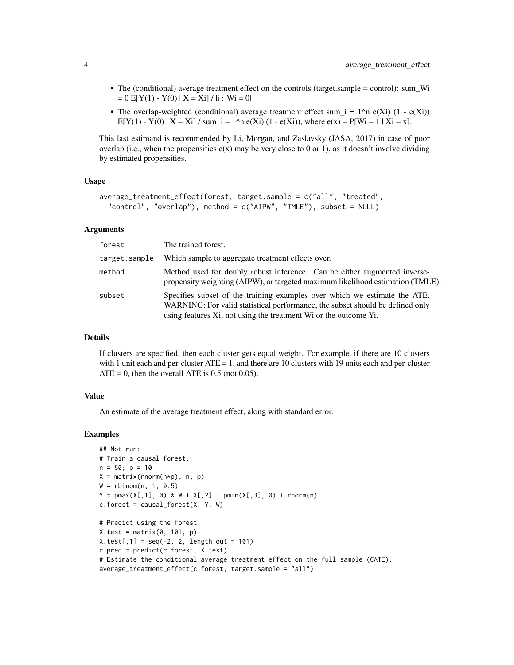- The (conditional) average treatment effect on the controls (target.sample = control): sum\_Wi  $= 0 \text{ E}[Y(1) - Y(0) | X = Xi] / |i : Wi = 0|$
- The overlap-weighted (conditional) average treatment effect sum  $i = 1^n$  n e(Xi) (1 e(Xi))  $E[Y(1) - Y(0) | X = Xi] / sum_i = 1^n n e(Xi) (1 - e(Xi)),$  where  $e(x) = P[Wi = 1 | Xi = x].$

This last estimand is recommended by Li, Morgan, and Zaslavsky (JASA, 2017) in case of poor overlap (i.e., when the propensities  $e(x)$  may be very close to 0 or 1), as it doesn't involve dividing by estimated propensities.

#### Usage

```
average_treatment_effect(forest, target.sample = c("all", "treated",
  "control", "overlap"), method = c("AIPW", "TMLE"), subset = NULL)
```
#### Arguments

| forest        | The trained forest.                                                                                                                                                                                                            |
|---------------|--------------------------------------------------------------------------------------------------------------------------------------------------------------------------------------------------------------------------------|
| target.sample | Which sample to aggregate treatment effects over.                                                                                                                                                                              |
| method        | Method used for doubly robust inference. Can be either augmented inverse-<br>propensity weighting (AIPW), or targeted maximum likelihood estimation (TMLE).                                                                    |
| subset        | Specifies subset of the training examples over which we estimate the ATE.<br>WARNING: For valid statistical performance, the subset should be defined only<br>using features Xi, not using the treatment Wi or the outcome Yi. |

# Details

If clusters are specified, then each cluster gets equal weight. For example, if there are 10 clusters with 1 unit each and per-cluster  $ATE = 1$ , and there are 10 clusters with 19 units each and per-cluster  $ATE = 0$ , then the overall ATE is 0.5 (not 0.05).

#### Value

An estimate of the average treatment effect, along with standard error.

```
## Not run:
# Train a causal forest.
n = 50; p = 10X = matrix(rnorm(n*p), n, p)W = rbinom(n, 1, 0.5)Y = pmax(X[, 1], 0) * W + X[, 2] + pmin(X[, 3], 0) + rnorm(n)c.forest = causal_forest(X, Y, W)# Predict using the forest.
X.test = matrix(0, 101, p)X.test[, 1] = seq(-2, 2, length.out = 101)c.pred = predict(c.forest, X.test)
# Estimate the conditional average treatment effect on the full sample (CATE).
average_treatment_effect(c.forest, target.sample = "all")
```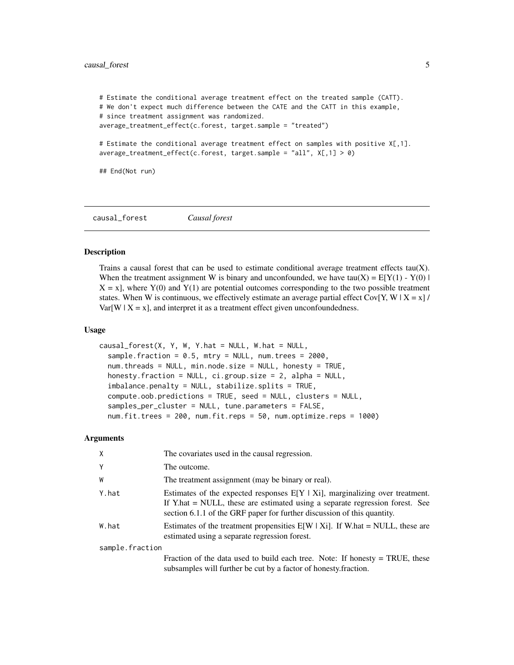```
# Estimate the conditional average treatment effect on the treated sample (CATT).
# We don't expect much difference between the CATE and the CATT in this example,
# since treatment assignment was randomized.
average_treatment_effect(c.forest, target.sample = "treated")
# Estimate the conditional average treatment effect on samples with positive X[,1].
average_treatment_effect(c.forest, target.sample = "all", X[,1] > 0)
## End(Not run)
```
causal\_forest *Causal forest*

#### Description

Trains a causal forest that can be used to estimate conditional average treatment effects  $tau(X)$ . When the treatment assignment W is binary and unconfounded, we have tau(X) =  $E[Y(1) - Y(0)]$  $X = x$ , where  $Y(0)$  and  $Y(1)$  are potential outcomes corresponding to the two possible treatment states. When W is continuous, we effectively estimate an average partial effect  $Cov[Y, W | X = x]$ /  $Var[W \mid X = x]$ , and interpret it as a treatment effect given unconfoundedness.

#### Usage

```
causal_forest(X, Y, W, Y.hat = NULL, W.hat = NULL,sample.fraction = 0.5, mtry = NULL, num.trees = 2000,
  num.threads = NULL, min.node.size = NULL, honesty = TRUE,
  honesty.fraction = NULL, ci.group.size = 2, alpha = NULL,
  imbalance.penalty = NULL, stabilize.splits = TRUE,
  compute.oob.predictions = TRUE, seed = NULL, clusters = NULL,
  samples_per_cluster = NULL, tune.parameters = FALSE,
  num.fit.trees = 200, num.fit.reps = 50, num.optimize.reps = 1000)
```

| X               | The covariates used in the causal regression.                                                                                                                                                                                               |  |
|-----------------|---------------------------------------------------------------------------------------------------------------------------------------------------------------------------------------------------------------------------------------------|--|
| Y               | The outcome.                                                                                                                                                                                                                                |  |
| W               | The treatment assignment (may be binary or real).                                                                                                                                                                                           |  |
| Y.hat           | Estimates of the expected responses $E[Y   X_i]$ , marginalizing over treatment.<br>If Y.hat = NULL, these are estimated using a separate regression forest. See<br>section 6.1.1 of the GRF paper for further discussion of this quantity. |  |
| W.hat           | Estimates of the treatment propensities $E[W   X]$ . If W.hat = NULL, these are<br>estimated using a separate regression forest.                                                                                                            |  |
| sample.fraction |                                                                                                                                                                                                                                             |  |
|                 | Fraction of the data used to build each tree. Note: If honesty $= TRUE$ , these<br>subsamples will further be cut by a factor of honesty. fraction.                                                                                         |  |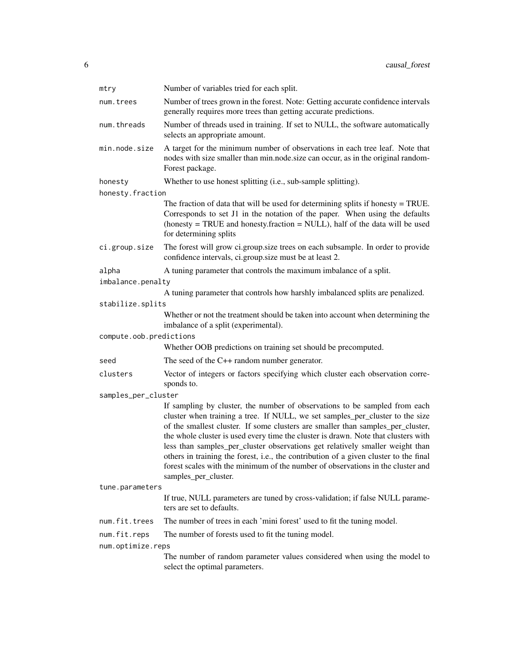| mtry                    | Number of variables tried for each split.                                                                                                                                                                                                                                                                                                                                                                                                                                                                                                                                                                                 |  |
|-------------------------|---------------------------------------------------------------------------------------------------------------------------------------------------------------------------------------------------------------------------------------------------------------------------------------------------------------------------------------------------------------------------------------------------------------------------------------------------------------------------------------------------------------------------------------------------------------------------------------------------------------------------|--|
| num.trees               | Number of trees grown in the forest. Note: Getting accurate confidence intervals<br>generally requires more trees than getting accurate predictions.                                                                                                                                                                                                                                                                                                                                                                                                                                                                      |  |
| num.threads             | Number of threads used in training. If set to NULL, the software automatically<br>selects an appropriate amount.                                                                                                                                                                                                                                                                                                                                                                                                                                                                                                          |  |
| min.node.size           | A target for the minimum number of observations in each tree leaf. Note that<br>nodes with size smaller than min.node.size can occur, as in the original random-<br>Forest package.                                                                                                                                                                                                                                                                                                                                                                                                                                       |  |
| honesty                 | Whether to use honest splitting (i.e., sub-sample splitting).                                                                                                                                                                                                                                                                                                                                                                                                                                                                                                                                                             |  |
| honesty.fraction        |                                                                                                                                                                                                                                                                                                                                                                                                                                                                                                                                                                                                                           |  |
|                         | The fraction of data that will be used for determining splits if honesty $=$ TRUE.<br>Corresponds to set J1 in the notation of the paper. When using the defaults<br>(honesty = TRUE and honesty.fraction = NULL), half of the data will be used<br>for determining splits                                                                                                                                                                                                                                                                                                                                                |  |
| ci.group.size           | The forest will grow ci.group.size trees on each subsample. In order to provide<br>confidence intervals, ci.group.size must be at least 2.                                                                                                                                                                                                                                                                                                                                                                                                                                                                                |  |
| alpha                   | A tuning parameter that controls the maximum imbalance of a split.                                                                                                                                                                                                                                                                                                                                                                                                                                                                                                                                                        |  |
| imbalance.penalty       |                                                                                                                                                                                                                                                                                                                                                                                                                                                                                                                                                                                                                           |  |
|                         | A tuning parameter that controls how harshly imbalanced splits are penalized.                                                                                                                                                                                                                                                                                                                                                                                                                                                                                                                                             |  |
| stabilize.splits        |                                                                                                                                                                                                                                                                                                                                                                                                                                                                                                                                                                                                                           |  |
|                         | Whether or not the treatment should be taken into account when determining the<br>imbalance of a split (experimental).                                                                                                                                                                                                                                                                                                                                                                                                                                                                                                    |  |
| compute.oob.predictions | Whether OOB predictions on training set should be precomputed.                                                                                                                                                                                                                                                                                                                                                                                                                                                                                                                                                            |  |
| seed                    | The seed of the $C++$ random number generator.                                                                                                                                                                                                                                                                                                                                                                                                                                                                                                                                                                            |  |
| clusters                | Vector of integers or factors specifying which cluster each observation corre-<br>sponds to.                                                                                                                                                                                                                                                                                                                                                                                                                                                                                                                              |  |
| samples_per_cluster     |                                                                                                                                                                                                                                                                                                                                                                                                                                                                                                                                                                                                                           |  |
|                         | If sampling by cluster, the number of observations to be sampled from each<br>cluster when training a tree. If NULL, we set samples_per_cluster to the size<br>of the smallest cluster. If some clusters are smaller than samples_per_cluster,<br>the whole cluster is used every time the cluster is drawn. Note that clusters with<br>less than samples_per_cluster observations get relatively smaller weight than<br>others in training the forest, i.e., the contribution of a given cluster to the final<br>forest scales with the minimum of the number of observations in the cluster and<br>samples_per_cluster. |  |
| tune.parameters         |                                                                                                                                                                                                                                                                                                                                                                                                                                                                                                                                                                                                                           |  |
|                         | If true, NULL parameters are tuned by cross-validation; if false NULL parame-<br>ters are set to defaults.                                                                                                                                                                                                                                                                                                                                                                                                                                                                                                                |  |
| num.fit.trees           | The number of trees in each 'mini forest' used to fit the tuning model.                                                                                                                                                                                                                                                                                                                                                                                                                                                                                                                                                   |  |
| num.fit.reps            | The number of forests used to fit the tuning model.                                                                                                                                                                                                                                                                                                                                                                                                                                                                                                                                                                       |  |
| num.optimize.reps       |                                                                                                                                                                                                                                                                                                                                                                                                                                                                                                                                                                                                                           |  |
|                         | The number of random parameter values considered when using the model to<br>select the optimal parameters.                                                                                                                                                                                                                                                                                                                                                                                                                                                                                                                |  |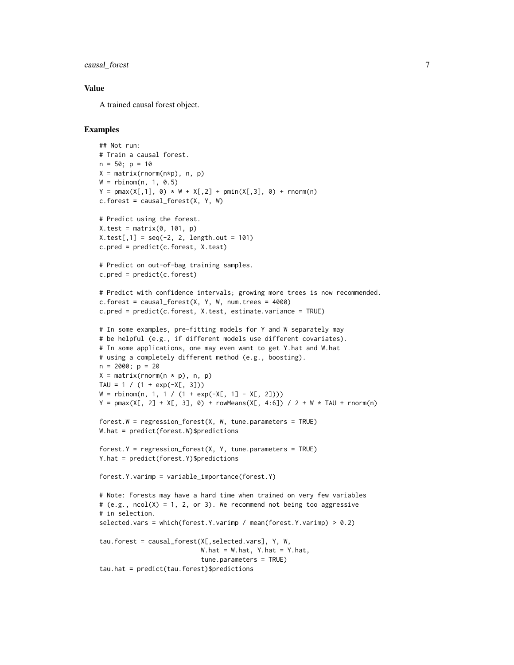causal\_forest 7

#### Value

A trained causal forest object.

```
## Not run:
# Train a causal forest.
n = 50; p = 10X = matrix(rnorm(n*p), n, p)W = rbinom(n, 1, 0.5)Y = pmax(X[, 1], 0) * W + X[, 2] + pmin(X[, 3], 0) + rnorm(n)c.forest = causal_forest(X, Y, W)# Predict using the forest.
X.test = matrix(0, 101, p)X.test[, 1] = seq(-2, 2, length.out = 101)c.pred = predict(c.forest, X.test)
# Predict on out-of-bag training samples.
c.pred = predict(c.forest)# Predict with confidence intervals; growing more trees is now recommended.
c.forest = causal_forest(X, Y, W, num.trees = 4000)c.pred = predict(c.forest, X.test, estimate.variance = TRUE)
# In some examples, pre-fitting models for Y and W separately may
# be helpful (e.g., if different models use different covariates).
# In some applications, one may even want to get Y.hat and W.hat
# using a completely different method (e.g., boosting).
n = 2000; p = 20X = matrix(rnorm(n * p), n, p)TAU = 1 / (1 + \exp(-X[, 3]))W = rbinom(n, 1, 1 / (1 + exp(-X[, 1] - X[, 2])))
Y = pmax(X[, 2] + X[, 3], 0) + rowMeans(X[, 4:6]) / 2 + W * TAU + rnorm(n)forest.W = regression_fonest(X, W, tune, parameters = TRUE)W.hat = predict(forest.W)$predictions
forest.Y = regression_forest(X, Y, tune.parameters = TRUE)
Y.hat = predict(forest.Y)$predictions
forest.Y.varimp = variable_importance(forest.Y)
# Note: Forests may have a hard time when trained on very few variables
# (e.g., ncol(X) = 1, 2, or 3). We recommend not being too aggressive
# in selection.
selected.vars = which(forest.Y.varimp / mean(forest.Y.varimp) > 0.2)
tau.forest = causal_forest(X[,selected.vars], Y, W,
                           W.hat = W.hat, Y.hat = Y.hat,
                           tune.parameters = TRUE)
tau.hat = predict(tau.forest)$predictions
```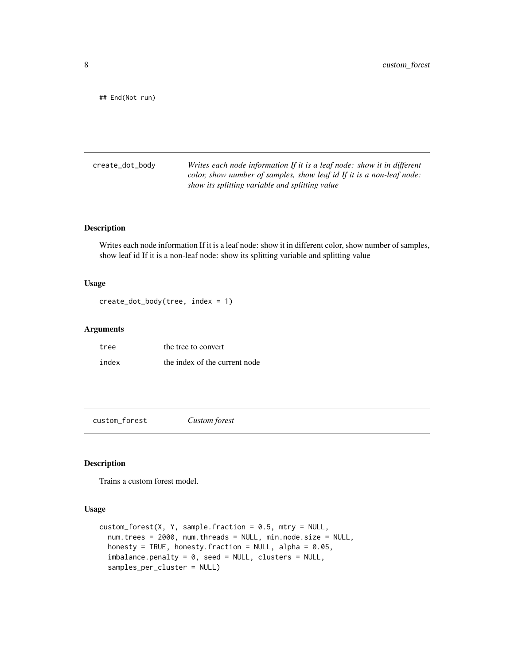<span id="page-7-0"></span>## End(Not run)

create\_dot\_body *Writes each node information If it is a leaf node: show it in different color, show number of samples, show leaf id If it is a non-leaf node: show its splitting variable and splitting value*

# Description

Writes each node information If it is a leaf node: show it in different color, show number of samples, show leaf id If it is a non-leaf node: show its splitting variable and splitting value

#### Usage

```
create_dot_body(tree, index = 1)
```
#### Arguments

| tree  | the tree to convert           |
|-------|-------------------------------|
| index | the index of the current node |

custom\_forest *Custom forest*

# Description

Trains a custom forest model.

#### Usage

```
custom_forest(X, Y, sample, fraction = 0.5, mtry = NULL,num.trees = 2000, num.threads = NULL, min.node.size = NULL,
 honesty = TRUE, honesty. fraction = NULL, alpha = 0.05,
  imbalance.penalty = 0, seed = NULL, clusters = NULL,
  samples_per_cluster = NULL)
```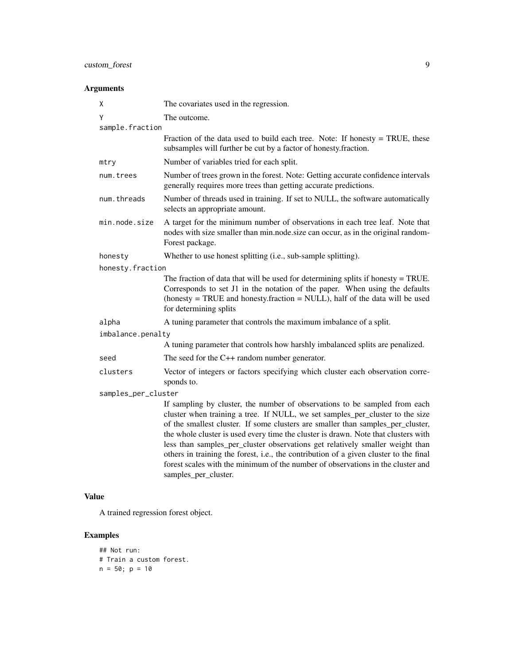# Arguments

| X                   | The covariates used in the regression.                                                                                                                                                                                                                                                                                                                                                                                                                                                                                                                                                                                    |  |
|---------------------|---------------------------------------------------------------------------------------------------------------------------------------------------------------------------------------------------------------------------------------------------------------------------------------------------------------------------------------------------------------------------------------------------------------------------------------------------------------------------------------------------------------------------------------------------------------------------------------------------------------------------|--|
| Υ                   | The outcome.                                                                                                                                                                                                                                                                                                                                                                                                                                                                                                                                                                                                              |  |
| sample.fraction     |                                                                                                                                                                                                                                                                                                                                                                                                                                                                                                                                                                                                                           |  |
|                     | Fraction of the data used to build each tree. Note: If honesty $=$ TRUE, these<br>subsamples will further be cut by a factor of honesty.fraction.                                                                                                                                                                                                                                                                                                                                                                                                                                                                         |  |
| mtry                | Number of variables tried for each split.                                                                                                                                                                                                                                                                                                                                                                                                                                                                                                                                                                                 |  |
| num.trees           | Number of trees grown in the forest. Note: Getting accurate confidence intervals<br>generally requires more trees than getting accurate predictions.                                                                                                                                                                                                                                                                                                                                                                                                                                                                      |  |
| num.threads         | Number of threads used in training. If set to NULL, the software automatically<br>selects an appropriate amount.                                                                                                                                                                                                                                                                                                                                                                                                                                                                                                          |  |
| min.node.size       | A target for the minimum number of observations in each tree leaf. Note that<br>nodes with size smaller than min.node.size can occur, as in the original random-<br>Forest package.                                                                                                                                                                                                                                                                                                                                                                                                                                       |  |
| honesty             | Whether to use honest splitting (i.e., sub-sample splitting).                                                                                                                                                                                                                                                                                                                                                                                                                                                                                                                                                             |  |
| honesty.fraction    |                                                                                                                                                                                                                                                                                                                                                                                                                                                                                                                                                                                                                           |  |
|                     | The fraction of data that will be used for determining splits if honesty $=$ TRUE.<br>Corresponds to set J1 in the notation of the paper. When using the defaults<br>(honesty = TRUE and honesty.fraction = NULL), half of the data will be used<br>for determining splits                                                                                                                                                                                                                                                                                                                                                |  |
| alpha               | A tuning parameter that controls the maximum imbalance of a split.                                                                                                                                                                                                                                                                                                                                                                                                                                                                                                                                                        |  |
| imbalance.penalty   |                                                                                                                                                                                                                                                                                                                                                                                                                                                                                                                                                                                                                           |  |
|                     | A tuning parameter that controls how harshly imbalanced splits are penalized.                                                                                                                                                                                                                                                                                                                                                                                                                                                                                                                                             |  |
| seed                | The seed for the $C++$ random number generator.                                                                                                                                                                                                                                                                                                                                                                                                                                                                                                                                                                           |  |
| clusters            | Vector of integers or factors specifying which cluster each observation corre-<br>sponds to.                                                                                                                                                                                                                                                                                                                                                                                                                                                                                                                              |  |
| samples_per_cluster |                                                                                                                                                                                                                                                                                                                                                                                                                                                                                                                                                                                                                           |  |
|                     | If sampling by cluster, the number of observations to be sampled from each<br>cluster when training a tree. If NULL, we set samples_per_cluster to the size<br>of the smallest cluster. If some clusters are smaller than samples_per_cluster,<br>the whole cluster is used every time the cluster is drawn. Note that clusters with<br>less than samples_per_cluster observations get relatively smaller weight than<br>others in training the forest, i.e., the contribution of a given cluster to the final<br>forest scales with the minimum of the number of observations in the cluster and<br>samples_per_cluster. |  |

# Value

A trained regression forest object.

```
## Not run:
# Train a custom forest.
n = 50; p = 10
```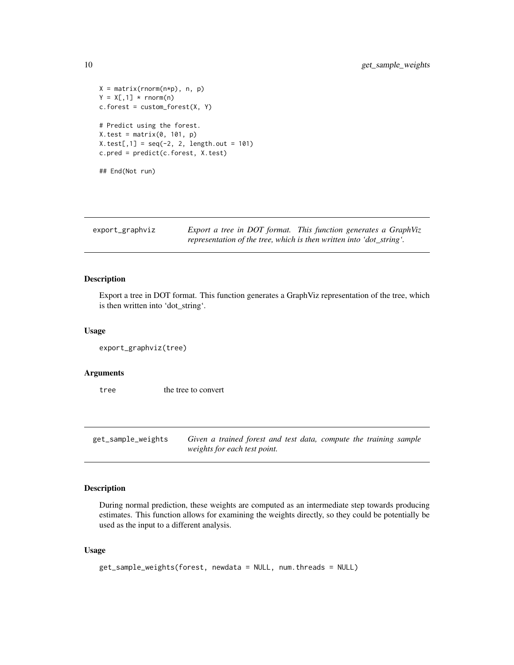```
X = matrix(rnorm(n*p), n, p)Y = X[, 1] * <b>rnorm(n)</b>c.forest = custom_forest(X, Y)# Predict using the forest.
X.test = matrix(0, 101, p)X.test[, 1] = seq(-2, 2, length.out = 101)c.pred = predict(c.forest, X.test)
## End(Not run)
```

| export_graphviz | Export a tree in DOT format. This function generates a GraphViz      |
|-----------------|----------------------------------------------------------------------|
|                 | representation of the tree, which is then written into 'dot_string'. |

### Description

Export a tree in DOT format. This function generates a GraphViz representation of the tree, which is then written into 'dot\_string'.

#### Usage

```
export_graphviz(tree)
```
#### Arguments

tree the tree to convert

get\_sample\_weights *Given a trained forest and test data, compute the training sample weights for each test point.*

#### Description

During normal prediction, these weights are computed as an intermediate step towards producing estimates. This function allows for examining the weights directly, so they could be potentially be used as the input to a different analysis.

# Usage

```
get_sample_weights(forest, newdata = NULL, num.threads = NULL)
```
<span id="page-9-0"></span>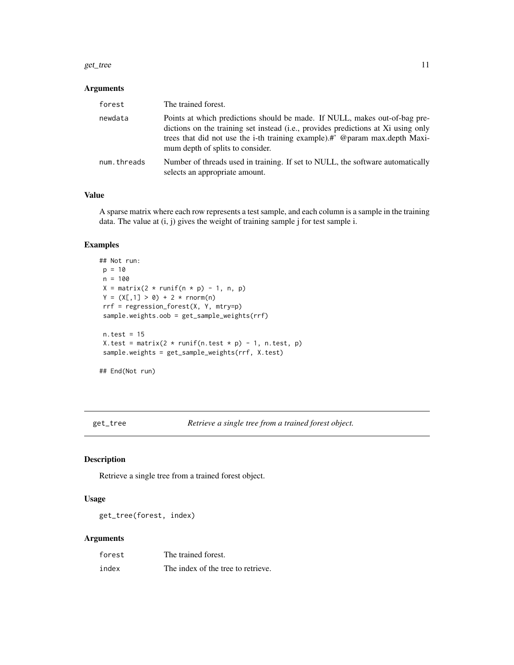#### <span id="page-10-0"></span>get\_tree 11

#### Arguments

| forest      | The trained forest.                                                                                                                                                                                                                                                                |
|-------------|------------------------------------------------------------------------------------------------------------------------------------------------------------------------------------------------------------------------------------------------------------------------------------|
| newdata     | Points at which predictions should be made. If NULL, makes out-of-bag pre-<br>dictions on the training set instead (i.e., provides predictions at Xi using only<br>trees that did not use the i-th training example).#' @param max.depth Maxi-<br>mum depth of splits to consider. |
| num.threads | Number of threads used in training. If set to NULL, the software automatically<br>selects an appropriate amount.                                                                                                                                                                   |

# Value

A sparse matrix where each row represents a test sample, and each column is a sample in the training data. The value at (i, j) gives the weight of training sample j for test sample i.

# Examples

```
## Not run:
p = 10n = 100
X = matrix(2 * runif(n * p) - 1, n, p)Y = (X[, 1] > 0) + 2 * rnorm(n)rrf = regression_forest(X, Y, mtry=p)
sample.weights.oob = get_sample_weights(rrf)
n.test = 15X.test = matrix(2 \times \text{runif(n.test } \times p) - 1, n.test, p)
sample.weights = get_sample_weights(rrf, X.test)
## End(Not run)
```
get\_tree *Retrieve a single tree from a trained forest object.*

# Description

Retrieve a single tree from a trained forest object.

# Usage

```
get_tree(forest, index)
```

| forest | The trained forest.                |
|--------|------------------------------------|
| index  | The index of the tree to retrieve. |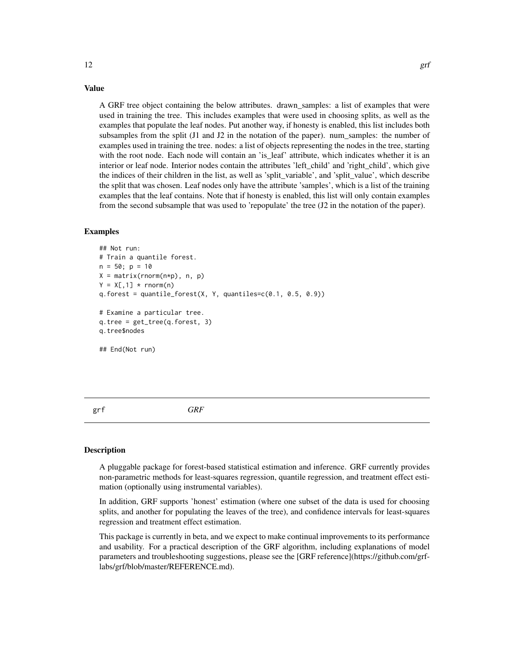#### Value

A GRF tree object containing the below attributes. drawn\_samples: a list of examples that were used in training the tree. This includes examples that were used in choosing splits, as well as the examples that populate the leaf nodes. Put another way, if honesty is enabled, this list includes both subsamples from the split  $(J1$  and  $J2$  in the notation of the paper). num\_samples: the number of examples used in training the tree. nodes: a list of objects representing the nodes in the tree, starting with the root node. Each node will contain an 'is\_leaf' attribute, which indicates whether it is an interior or leaf node. Interior nodes contain the attributes 'left\_child' and 'right\_child', which give the indices of their children in the list, as well as 'split\_variable', and 'split\_value', which describe the split that was chosen. Leaf nodes only have the attribute 'samples', which is a list of the training examples that the leaf contains. Note that if honesty is enabled, this list will only contain examples from the second subsample that was used to 'repopulate' the tree (J2 in the notation of the paper).

#### Examples

```
## Not run:
# Train a quantile forest.
n = 50; p = 10X = matrix(rnorm(n*p), n, p)Y = X[, 1] * rnorm(n)q.forest = quantile_forest(X, Y, quantiles=c(0.1, 0.5, 0.9))
# Examine a particular tree.
q.tree = get_tree(q.forest, 3)
q.tree$nodes
## End(Not run)
```
grf *GRF*

#### **Description**

A pluggable package for forest-based statistical estimation and inference. GRF currently provides non-parametric methods for least-squares regression, quantile regression, and treatment effect estimation (optionally using instrumental variables).

In addition, GRF supports 'honest' estimation (where one subset of the data is used for choosing splits, and another for populating the leaves of the tree), and confidence intervals for least-squares regression and treatment effect estimation.

This package is currently in beta, and we expect to make continual improvements to its performance and usability. For a practical description of the GRF algorithm, including explanations of model parameters and troubleshooting suggestions, please see the [GRF reference](https://github.com/grflabs/grf/blob/master/REFERENCE.md).

<span id="page-11-0"></span>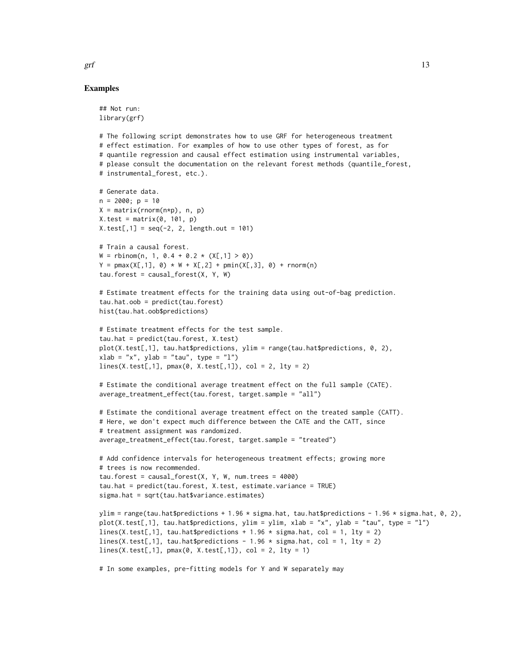Examples

## Not run:

```
library(grf)
# The following script demonstrates how to use GRF for heterogeneous treatment
# effect estimation. For examples of how to use other types of forest, as for
# quantile regression and causal effect estimation using instrumental variables,
# please consult the documentation on the relevant forest methods (quantile_forest,
# instrumental_forest, etc.).
# Generate data.
n = 2000; p = 10X = matrix(rnorm(n*p), n, p)X.test = matrix(0, 101, p)X.test[, 1] = seq(-2, 2, length.out = 101)# Train a causal forest.
W = \text{rbinom}(n, 1, 0.4 + 0.2 \times (X[, 1] > 0))Y = pmax(X[, 1], 0) * W + X[, 2] + pmin(X[, 3], 0) + rnorm(n)tau.forest = causal_forest(X, Y, W)# Estimate treatment effects for the training data using out-of-bag prediction.
tau.hat.oob = predict(tau.forest)
hist(tau.hat.oob$predictions)
# Estimate treatment effects for the test sample.
tau.hat = predict(tau.forest, X.test)
plot(X.test[,1], tau.hat$predictions, ylim = range(tau.hat$predictions, 0, 2),
xlab = "x", ylab = "tau", type = "l")
lines(X.test[, 1], pmax(0, X.test[, 1]), col = 2, lty = 2)# Estimate the conditional average treatment effect on the full sample (CATE).
average_treatment_effect(tau.forest, target.sample = "all")
# Estimate the conditional average treatment effect on the treated sample (CATT).
# Here, we don't expect much difference between the CATE and the CATT, since
# treatment assignment was randomized.
average_treatment_effect(tau.forest, target.sample = "treated")
# Add confidence intervals for heterogeneous treatment effects; growing more
# trees is now recommended.
tau.forest = causal_forest(X, Y, W, num.trees = 4000)
tau.hat = predict(tau.forest, X.test, estimate.variance = TRUE)
sigma.hat = sqrt(tau.hat$variance.estimates)
ylim = range(tau.hat$predictions + 1.96 * sigma.hat, tau.hat$predictions - 1.96 * sigma.hat, 0, 2),
plot(X.test[,1], tau.hat$predictions, ylim = ylim, xlab = "x", ylab = "tau", type = "l")
lines(X.test[,1], tau.hat$predictions + 1.96 * sigma.hat, col = 1, lty = 2)
lines(X.test[,1], tau.hat$predictions - 1.96 * sigma.hat, col = 1, lty = 2)
lines(X.test[, 1], pmax(0, X.test[, 1]), col = 2, lty = 1)# In some examples, pre-fitting models for Y and W separately may
```
 $grf$  13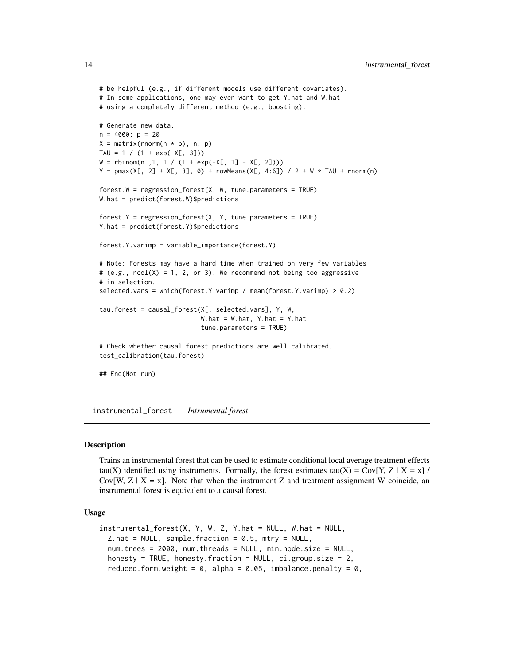```
# be helpful (e.g., if different models use different covariates).
# In some applications, one may even want to get Y.hat and W.hat
# using a completely different method (e.g., boosting).
# Generate new data.
n = 4000; p = 20X = matrix(rnorm(n * p), n, p)TAU = 1 / (1 + \exp(-X[, 3]))W = rbinom(n,1, 1 / (1 + exp(-X[, 1] - X[, 2])))
Y = pmax(X[, 2] + X[, 3], 0) + rowMeans(X[, 4:6]) / 2 + W * TAU + rnorm(n)forest.W = regression_forest(X, W, tune.parameters = TRUE)
W.hat = predict(forest.W)$predictions
forest.Y = regression_forest(X, Y, tune.parameters = TRUE)
Y.hat = predict(forest.Y)$predictions
forest.Y.varimp = variable_importance(forest.Y)
# Note: Forests may have a hard time when trained on very few variables
# (e.g., ncol(X) = 1, 2, or 3). We recommend not being too aggressive
# in selection.
selected.vars = which(forest.Y.varimp / mean(forest.Y.varimp) > 0.2)
tau.forest = causal_forest(X[, selected.vars], Y, W,
                           W.hat = W.hat, Y.hat = Y.hat,
                           tune.parameters = TRUE)
# Check whether causal forest predictions are well calibrated.
test_calibration(tau.forest)
## End(Not run)
```
instrumental\_forest *Intrumental forest*

#### **Description**

Trains an instrumental forest that can be used to estimate conditional local average treatment effects tau(X) identified using instruments. Formally, the forest estimates tau(X) = Cov[Y, Z | X = x] / Cov[W,  $Z \mid X = x$ ]. Note that when the instrument Z and treatment assignment W coincide, an instrumental forest is equivalent to a causal forest.

#### Usage

```
instrumental_forest(X, Y, W, Z, Y.hat = NULL, W.hat = NULL,
  Z.hat = NULL, sample. fraction = 0.5, mtry = NULL,
  num.trees = 2000, num.threads = NULL, min.node.size = NULL,
  honesty = TRUE, honesty.fraction = NULL, ci.group.size = 2,
  reduced.form.weight = 0, alpha = 0.05, imbalance.penalty = 0,
```
<span id="page-13-0"></span>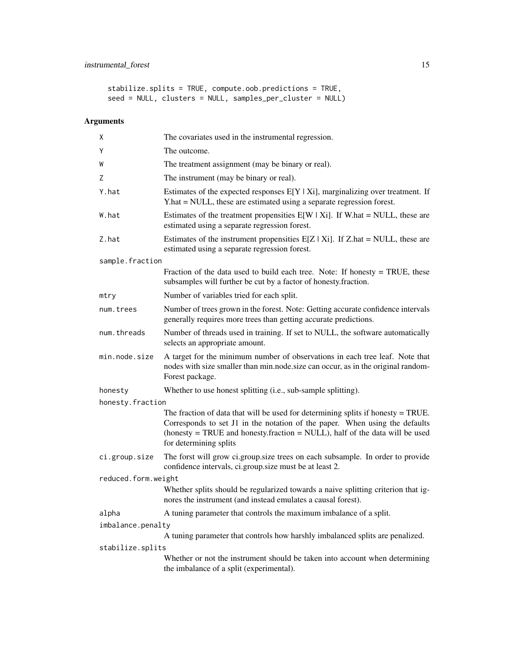stabilize.splits = TRUE, compute.oob.predictions = TRUE, seed = NULL, clusters = NULL, samples\_per\_cluster = NULL)

| Χ                   | The covariates used in the instrumental regression.                                                                                                                                                                                                                        |  |
|---------------------|----------------------------------------------------------------------------------------------------------------------------------------------------------------------------------------------------------------------------------------------------------------------------|--|
| Y                   | The outcome.                                                                                                                                                                                                                                                               |  |
| W                   | The treatment assignment (may be binary or real).                                                                                                                                                                                                                          |  |
| Ζ                   | The instrument (may be binary or real).                                                                                                                                                                                                                                    |  |
| Y.hat               | Estimates of the expected responses $E[Y   X_i]$ , marginalizing over treatment. If<br>Y.hat = NULL, these are estimated using a separate regression forest.                                                                                                               |  |
| W.hat               | Estimates of the treatment propensities $E[W   X_i]$ . If W.hat = NULL, these are<br>estimated using a separate regression forest.                                                                                                                                         |  |
| Z.hat               | Estimates of the instrument propensities $E[Z \mid X_i]$ . If Z.hat = NULL, these are<br>estimated using a separate regression forest.                                                                                                                                     |  |
| sample.fraction     |                                                                                                                                                                                                                                                                            |  |
|                     | Fraction of the data used to build each tree. Note: If honesty $=$ TRUE, these<br>subsamples will further be cut by a factor of honesty.fraction.                                                                                                                          |  |
| mtry                | Number of variables tried for each split.                                                                                                                                                                                                                                  |  |
| num.trees           | Number of trees grown in the forest. Note: Getting accurate confidence intervals<br>generally requires more trees than getting accurate predictions.                                                                                                                       |  |
| num.threads         | Number of threads used in training. If set to NULL, the software automatically<br>selects an appropriate amount.                                                                                                                                                           |  |
| min.node.size       | A target for the minimum number of observations in each tree leaf. Note that<br>nodes with size smaller than min.node.size can occur, as in the original random-<br>Forest package.                                                                                        |  |
| honesty             | Whether to use honest splitting (i.e., sub-sample splitting).                                                                                                                                                                                                              |  |
| honesty.fraction    |                                                                                                                                                                                                                                                                            |  |
|                     | The fraction of data that will be used for determining splits if honesty $=$ TRUE.<br>Corresponds to set J1 in the notation of the paper. When using the defaults<br>(honesty = TRUE and honesty.fraction = NULL), half of the data will be used<br>for determining splits |  |
| ci.group.size       | The forst will grow ci.group.size trees on each subsample. In order to provide<br>confidence intervals, ci.group.size must be at least 2.                                                                                                                                  |  |
| reduced.form.weight |                                                                                                                                                                                                                                                                            |  |
|                     | Whether splits should be regularized towards a naive splitting criterion that ig-<br>nores the instrument (and instead emulates a causal forest).                                                                                                                          |  |
| alpha               | A tuning parameter that controls the maximum imbalance of a split.                                                                                                                                                                                                         |  |
| imbalance.penalty   |                                                                                                                                                                                                                                                                            |  |
|                     | A tuning parameter that controls how harshly imbalanced splits are penalized.                                                                                                                                                                                              |  |
| stabilize.splits    |                                                                                                                                                                                                                                                                            |  |
|                     | Whether or not the instrument should be taken into account when determining<br>the imbalance of a split (experimental).                                                                                                                                                    |  |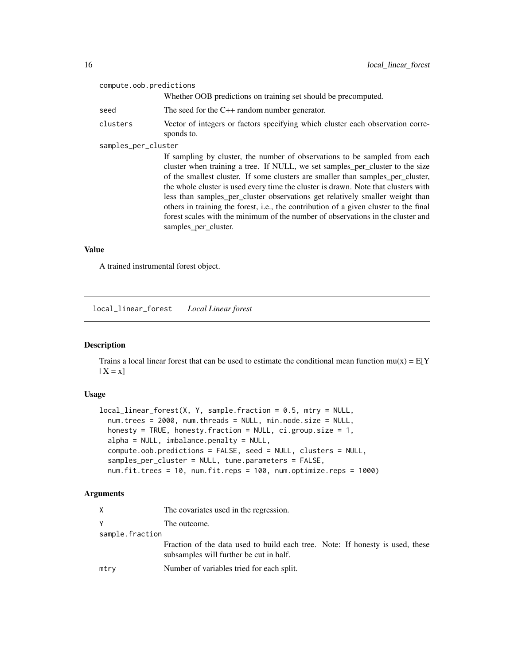<span id="page-15-0"></span>

| compute.oob.predictions |                                                                                                                                                                                                                                                                                                                                                                                                                                                                                                                                                                                                                           |
|-------------------------|---------------------------------------------------------------------------------------------------------------------------------------------------------------------------------------------------------------------------------------------------------------------------------------------------------------------------------------------------------------------------------------------------------------------------------------------------------------------------------------------------------------------------------------------------------------------------------------------------------------------------|
|                         | Whether OOB predictions on training set should be precomputed.                                                                                                                                                                                                                                                                                                                                                                                                                                                                                                                                                            |
| seed                    | The seed for the $C++$ random number generator.                                                                                                                                                                                                                                                                                                                                                                                                                                                                                                                                                                           |
| clusters                | Vector of integers or factors specifying which cluster each observation corre-<br>sponds to.                                                                                                                                                                                                                                                                                                                                                                                                                                                                                                                              |
| samples_per_cluster     |                                                                                                                                                                                                                                                                                                                                                                                                                                                                                                                                                                                                                           |
|                         | If sampling by cluster, the number of observations to be sampled from each<br>cluster when training a tree. If NULL, we set samples per cluster to the size<br>of the smallest cluster. If some clusters are smaller than samples_per_cluster,<br>the whole cluster is used every time the cluster is drawn. Note that clusters with<br>less than samples_per_cluster observations get relatively smaller weight than<br>others in training the forest, i.e., the contribution of a given cluster to the final<br>forest scales with the minimum of the number of observations in the cluster and<br>samples_per_cluster. |
|                         |                                                                                                                                                                                                                                                                                                                                                                                                                                                                                                                                                                                                                           |

#### Value

A trained instrumental forest object.

local\_linear\_forest *Local Linear forest*

# Description

Trains a local linear forest that can be used to estimate the conditional mean function  $mu(x) = E[Y]$  $| X = x]$ 

#### Usage

```
local_linear_forest(X, Y, sample.fraction = 0.5, mtry = NULL,
  num.trees = 2000, num.threads = NULL, min.node.size = NULL,
  honesty = TRUE, honesty.fraction = NULL, ci.group.size = 1,
  alpha = NULL, imbalance.penalty = NULL,
  compute.oob.predictions = FALSE, seed = NULL, clusters = NULL,
  samples_per_cluster = NULL, tune.parameters = FALSE,
  num.fit.trees = 10, num.fit.reps = 100, num.optimize.reps = 1000)
```

| X               | The covariates used in the regression.                                                                                   |  |
|-----------------|--------------------------------------------------------------------------------------------------------------------------|--|
| Y               | The outcome.                                                                                                             |  |
| sample.fraction |                                                                                                                          |  |
|                 | Fraction of the data used to build each tree. Note: If honesty is used, these<br>subsamples will further be cut in half. |  |
| mtry            | Number of variables tried for each split.                                                                                |  |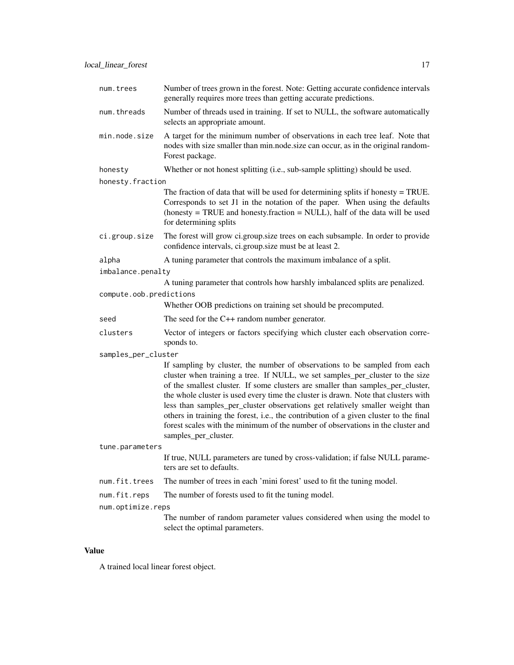| num.trees               | Number of trees grown in the forest. Note: Getting accurate confidence intervals<br>generally requires more trees than getting accurate predictions.                                                                                                                                                                                                                                                                                                                                                                                                                                                                      |
|-------------------------|---------------------------------------------------------------------------------------------------------------------------------------------------------------------------------------------------------------------------------------------------------------------------------------------------------------------------------------------------------------------------------------------------------------------------------------------------------------------------------------------------------------------------------------------------------------------------------------------------------------------------|
| num.threads             | Number of threads used in training. If set to NULL, the software automatically<br>selects an appropriate amount.                                                                                                                                                                                                                                                                                                                                                                                                                                                                                                          |
| min.node.size           | A target for the minimum number of observations in each tree leaf. Note that<br>nodes with size smaller than min.node.size can occur, as in the original random-<br>Forest package.                                                                                                                                                                                                                                                                                                                                                                                                                                       |
| honesty                 | Whether or not honest splitting (i.e., sub-sample splitting) should be used.                                                                                                                                                                                                                                                                                                                                                                                                                                                                                                                                              |
| honesty.fraction        |                                                                                                                                                                                                                                                                                                                                                                                                                                                                                                                                                                                                                           |
|                         | The fraction of data that will be used for determining splits if honesty = TRUE.<br>Corresponds to set J1 in the notation of the paper. When using the defaults<br>(honesty = TRUE and honesty.fraction = NULL), half of the data will be used<br>for determining splits                                                                                                                                                                                                                                                                                                                                                  |
| ci.group.size           | The forest will grow ci.group.size trees on each subsample. In order to provide<br>confidence intervals, ci.group.size must be at least 2.                                                                                                                                                                                                                                                                                                                                                                                                                                                                                |
| alpha                   | A tuning parameter that controls the maximum imbalance of a split.                                                                                                                                                                                                                                                                                                                                                                                                                                                                                                                                                        |
| imbalance.penalty       |                                                                                                                                                                                                                                                                                                                                                                                                                                                                                                                                                                                                                           |
|                         | A tuning parameter that controls how harshly imbalanced splits are penalized.                                                                                                                                                                                                                                                                                                                                                                                                                                                                                                                                             |
| compute.oob.predictions |                                                                                                                                                                                                                                                                                                                                                                                                                                                                                                                                                                                                                           |
|                         | Whether OOB predictions on training set should be precomputed.                                                                                                                                                                                                                                                                                                                                                                                                                                                                                                                                                            |
| seed                    | The seed for the $C++$ random number generator.                                                                                                                                                                                                                                                                                                                                                                                                                                                                                                                                                                           |
| clusters                | Vector of integers or factors specifying which cluster each observation corre-<br>sponds to.                                                                                                                                                                                                                                                                                                                                                                                                                                                                                                                              |
| samples_per_cluster     |                                                                                                                                                                                                                                                                                                                                                                                                                                                                                                                                                                                                                           |
|                         | If sampling by cluster, the number of observations to be sampled from each<br>cluster when training a tree. If NULL, we set samples_per_cluster to the size<br>of the smallest cluster. If some clusters are smaller than samples_per_cluster,<br>the whole cluster is used every time the cluster is drawn. Note that clusters with<br>less than samples_per_cluster observations get relatively smaller weight than<br>others in training the forest, i.e., the contribution of a given cluster to the final<br>forest scales with the minimum of the number of observations in the cluster and<br>samples_per_cluster. |
| tune.parameters         |                                                                                                                                                                                                                                                                                                                                                                                                                                                                                                                                                                                                                           |
|                         | If true, NULL parameters are tuned by cross-validation; if false NULL parame-<br>ters are set to defaults.                                                                                                                                                                                                                                                                                                                                                                                                                                                                                                                |
| num.fit.trees           | The number of trees in each 'mini forest' used to fit the tuning model.                                                                                                                                                                                                                                                                                                                                                                                                                                                                                                                                                   |
| num.fit.reps            | The number of forests used to fit the tuning model.                                                                                                                                                                                                                                                                                                                                                                                                                                                                                                                                                                       |
| num.optimize.reps       |                                                                                                                                                                                                                                                                                                                                                                                                                                                                                                                                                                                                                           |
|                         | The number of random parameter values considered when using the model to<br>select the optimal parameters.                                                                                                                                                                                                                                                                                                                                                                                                                                                                                                                |

# Value

A trained local linear forest object.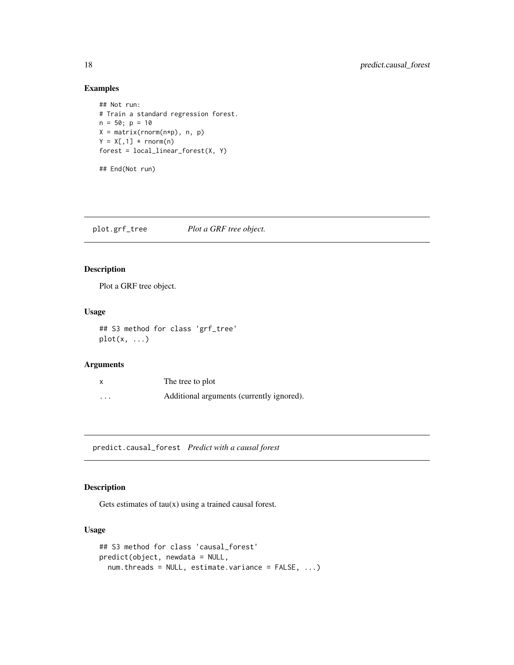# Examples

```
## Not run:
# Train a standard regression forest.
n = 50; p = 10X = matrix(rnorm(n*p), n, p)Y = X[, 1] * <b>rnorm(n)</b>forest = local_{linear\_forest(X, Y)}
```
## End(Not run)

plot.grf\_tree *Plot a GRF tree object.*

## Description

Plot a GRF tree object.

#### Usage

## S3 method for class 'grf\_tree'  $plot(x, \ldots)$ 

# Arguments

| X        | The tree to plot                          |
|----------|-------------------------------------------|
| $\cdots$ | Additional arguments (currently ignored). |

predict.causal\_forest *Predict with a causal forest*

# Description

Gets estimates of  $tau(x)$  using a trained causal forest.

#### Usage

```
## S3 method for class 'causal_forest'
predict(object, newdata = NULL,
 num.threads = NULL, estimate.variance = FALSE, ...)
```
<span id="page-17-0"></span>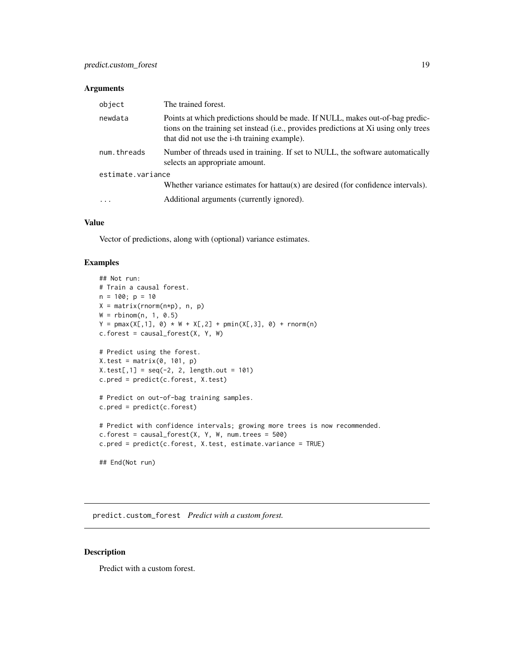#### <span id="page-18-0"></span>Arguments

| object            | The trained forest.                                                                                                                                                                                                   |
|-------------------|-----------------------------------------------------------------------------------------------------------------------------------------------------------------------------------------------------------------------|
| newdata           | Points at which predictions should be made. If NULL, makes out-of-bag predic-<br>tions on the training set instead (i.e., provides predictions at Xi using only trees<br>that did not use the i-th training example). |
| num.threads       | Number of threads used in training. If set to NULL, the software automatically<br>selects an appropriate amount.                                                                                                      |
| estimate.variance |                                                                                                                                                                                                                       |
|                   | Whether variance estimates for hattau $(x)$ are desired (for confidence intervals).                                                                                                                                   |
| $\cdots$          | Additional arguments (currently ignored).                                                                                                                                                                             |

# Value

Vector of predictions, along with (optional) variance estimates.

# Examples

```
## Not run:
# Train a causal forest.
n = 100; p = 10X = matrix(rnorm(n*p), n, p)W = rbinom(n, 1, 0.5)Y = pmax(X[, 1], 0) * W + X[, 2] + pmin(X[, 3], 0) + rnorm(n)c.forest = causal_forest(X, Y, W)# Predict using the forest.
X.test = matrix(0, 101, p)X.test[, 1] = seq(-2, 2, length.out = 101)c.pred = predict(c.forest, X.test)
# Predict on out-of-bag training samples.
c.pred = predict(c.forest)
# Predict with confidence intervals; growing more trees is now recommended.
c.forest = causal_forest(X, Y, W, num.trees = 500)c.pred = predict(c.forest, X.test, estimate.variance = TRUE)
## End(Not run)
```
predict.custom\_forest *Predict with a custom forest.*

#### Description

Predict with a custom forest.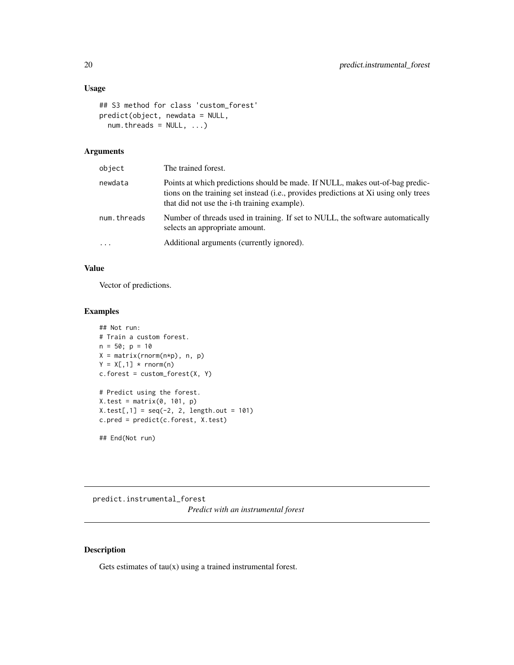# <span id="page-19-0"></span>Usage

```
## S3 method for class 'custom_forest'
predict(object, newdata = NULL,
 num.threads = NULL, ...)
```
# Arguments

| object      | The trained forest.                                                                                                                                                                                                           |
|-------------|-------------------------------------------------------------------------------------------------------------------------------------------------------------------------------------------------------------------------------|
| newdata     | Points at which predictions should be made. If NULL, makes out-of-bag predic-<br>tions on the training set instead (i.e., provides predictions at Xi using only trees<br>that did not use the <i>i</i> -th training example). |
| num.threads | Number of threads used in training. If set to NULL, the software automatically<br>selects an appropriate amount.                                                                                                              |
| .           | Additional arguments (currently ignored).                                                                                                                                                                                     |

### Value

Vector of predictions.

#### Examples

```
## Not run:
# Train a custom forest.
n = 50; p = 10X = matrix(rnorm(n*p), n, p)Y = X[, 1] * rnorm(n)c.forest = custom_forest(X, Y)# Predict using the forest.
X.test = matrix(0, 101, p)X.test[, 1] = seq(-2, 2, length.out = 101)c.pred = predict(c.forest, X.test)
```
## End(Not run)

predict.instrumental\_forest *Predict with an instrumental forest*

# Description

Gets estimates of  $tau(x)$  using a trained instrumental forest.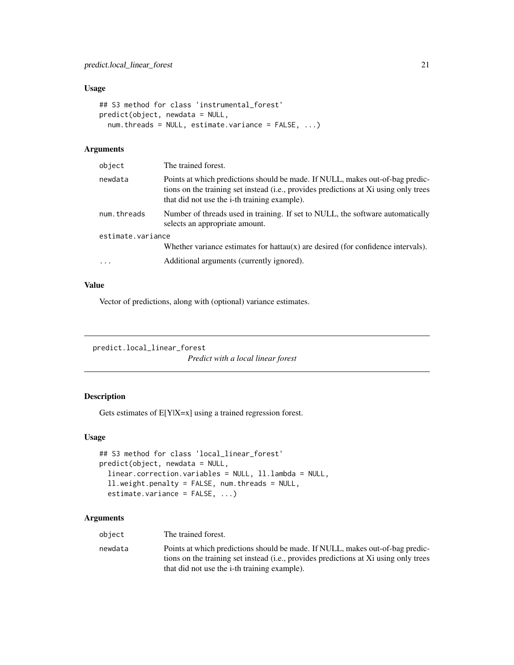#### <span id="page-20-0"></span>Usage

```
## S3 method for class 'instrumental_forest'
predict(object, newdata = NULL,
 num.threads = NULL, estimate.variance = FALSE, ...)
```
# Arguments

| object            | The trained forest.                                                                                                                                                                                                           |
|-------------------|-------------------------------------------------------------------------------------------------------------------------------------------------------------------------------------------------------------------------------|
| newdata           | Points at which predictions should be made. If NULL, makes out-of-bag predic-<br>tions on the training set instead (i.e., provides predictions at Xi using only trees<br>that did not use the <i>i</i> -th training example). |
| num.threads       | Number of threads used in training. If set to NULL, the software automatically<br>selects an appropriate amount.                                                                                                              |
| estimate.variance |                                                                                                                                                                                                                               |
|                   | Whether variance estimates for hattau $(x)$ are desired (for confidence intervals).                                                                                                                                           |
| $\cdots$          | Additional arguments (currently ignored).                                                                                                                                                                                     |
|                   |                                                                                                                                                                                                                               |

# Value

Vector of predictions, along with (optional) variance estimates.

```
predict.local_linear_forest
```
*Predict with a local linear forest*

# Description

Gets estimates of E[Y|X=x] using a trained regression forest.

#### Usage

```
## S3 method for class 'local_linear_forest'
predict(object, newdata = NULL,
  linear.correction.variables = NULL, ll.lambda = NULL,
  ll.weight.penalty = FALSE, num.threads = NULL,
  estimate.variance = FALSE, ...)
```

| object  | The trained forest.                                                                                                                                                                                                           |
|---------|-------------------------------------------------------------------------------------------------------------------------------------------------------------------------------------------------------------------------------|
| newdata | Points at which predictions should be made. If NULL, makes out-of-bag predic-<br>tions on the training set instead (i.e., provides predictions at Xi using only trees<br>that did not use the <i>i</i> -th training example). |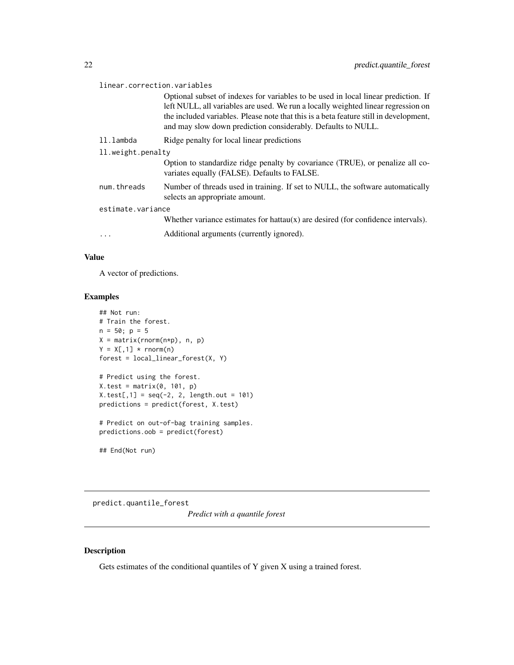<span id="page-21-0"></span>

| linear.correction.variables |                                                                                                                                                                                                                                                                                                                                  |  |
|-----------------------------|----------------------------------------------------------------------------------------------------------------------------------------------------------------------------------------------------------------------------------------------------------------------------------------------------------------------------------|--|
|                             | Optional subset of indexes for variables to be used in local linear prediction. If<br>left NULL, all variables are used. We run a locally weighted linear regression on<br>the included variables. Please note that this is a beta feature still in development,<br>and may slow down prediction considerably. Defaults to NULL. |  |
| ll.lambda                   | Ridge penalty for local linear predictions                                                                                                                                                                                                                                                                                       |  |
| 11. weight. penalty         |                                                                                                                                                                                                                                                                                                                                  |  |
|                             | Option to standardize ridge penalty by covariance (TRUE), or penalize all co-<br>variates equally (FALSE). Defaults to FALSE.                                                                                                                                                                                                    |  |
| num.threads                 | Number of threads used in training. If set to NULL, the software automatically<br>selects an appropriate amount.                                                                                                                                                                                                                 |  |
| estimate.variance           |                                                                                                                                                                                                                                                                                                                                  |  |
|                             | Whether variance estimates for hattau $(x)$ are desired (for confidence intervals).                                                                                                                                                                                                                                              |  |
| .                           | Additional arguments (currently ignored).                                                                                                                                                                                                                                                                                        |  |

# Value

A vector of predictions.

# Examples

```
## Not run:
# Train the forest.
n = 50; p = 5X = matrix(rnorm(n*p), n, p)Y = X[, 1] * <b>rnorm(n)</b>forest = local_{linear\_forest(X, Y)}# Predict using the forest.
X.test = matrix(0, 101, p)
X.test[, 1] = seq(-2, 2, length.out = 101)predictions = predict(forest, X.test)
# Predict on out-of-bag training samples.
predictions.oob = predict(forest)
```
## End(Not run)

predict.quantile\_forest

*Predict with a quantile forest*

# Description

Gets estimates of the conditional quantiles of Y given X using a trained forest.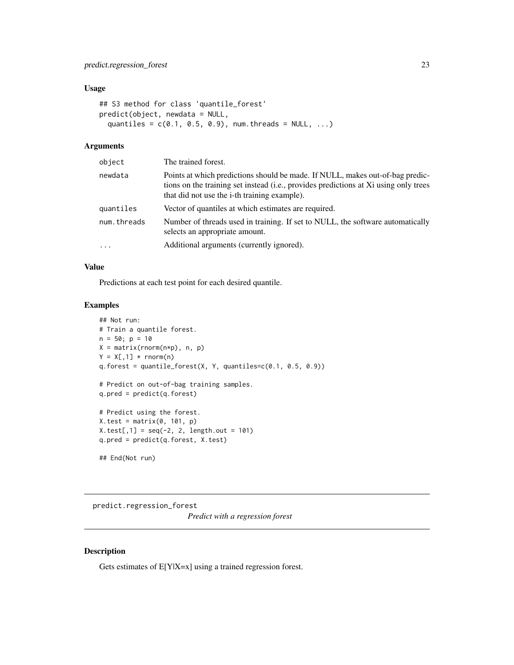#### <span id="page-22-0"></span>Usage

```
## S3 method for class 'quantile_forest'
predict(object, newdata = NULL,
 quantiles = c(0.1, 0.5, 0.9), num.threads = NULL, ...)
```
#### Arguments

| object      | The trained forest.                                                                                                                                                                                                   |
|-------------|-----------------------------------------------------------------------------------------------------------------------------------------------------------------------------------------------------------------------|
| newdata     | Points at which predictions should be made. If NULL, makes out-of-bag predic-<br>tions on the training set instead (i.e., provides predictions at Xi using only trees<br>that did not use the i-th training example). |
| quantiles   | Vector of quantiles at which estimates are required.                                                                                                                                                                  |
| num.threads | Number of threads used in training. If set to NULL, the software automatically<br>selects an appropriate amount.                                                                                                      |
| $\cdots$    | Additional arguments (currently ignored).                                                                                                                                                                             |
|             |                                                                                                                                                                                                                       |

# Value

Predictions at each test point for each desired quantile.

### Examples

```
## Not run:
# Train a quantile forest.
n = 50; p = 10X = matrix(rnorm(n*p), n, p)Y = X[, 1] * <b>rnorm(n)</b>q.forest = quantile_forest(X, Y, quantiles=c(0.1, 0.5, 0.9))
# Predict on out-of-bag training samples.
q.pred = predict(q.forest)
# Predict using the forest.
X.test = matrix(0, 101, p)X.test[, 1] = seq(-2, 2, length.out = 101)q.pred = predict(q.forest, X.test)
## End(Not run)
```
predict.regression\_forest *Predict with a regression forest*

# Description

Gets estimates of E[Y|X=x] using a trained regression forest.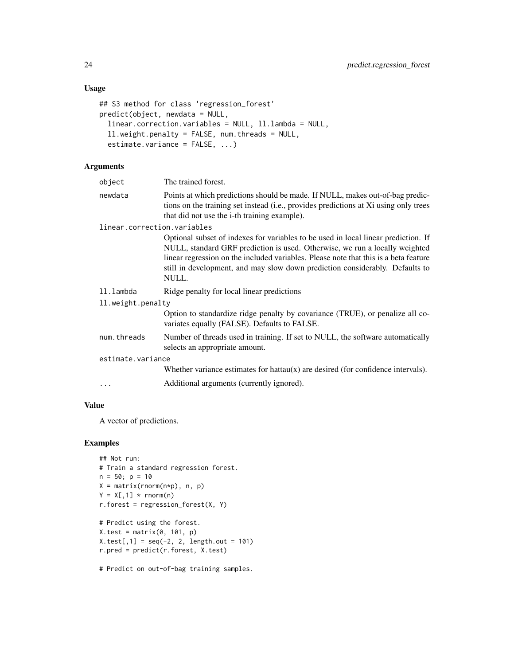# Usage

```
## S3 method for class 'regression_forest'
predict(object, newdata = NULL,
  linear.correction.variables = NULL, ll.lambda = NULL,
  ll.weight.penalty = FALSE, num.threads = NULL,
 estimate.variance = FALSE, ...)
```
# Arguments

| object                      | The trained forest.                                                                                                                                                                                                                                                                                                                                |
|-----------------------------|----------------------------------------------------------------------------------------------------------------------------------------------------------------------------------------------------------------------------------------------------------------------------------------------------------------------------------------------------|
| newdata                     | Points at which predictions should be made. If NULL, makes out-of-bag predic-<br>tions on the training set instead (i.e., provides predictions at Xi using only trees<br>that did not use the i-th training example).                                                                                                                              |
| linear.correction.variables |                                                                                                                                                                                                                                                                                                                                                    |
|                             | Optional subset of indexes for variables to be used in local linear prediction. If<br>NULL, standard GRF prediction is used. Otherwise, we run a locally weighted<br>linear regression on the included variables. Please note that this is a beta feature<br>still in development, and may slow down prediction considerably. Defaults to<br>NULL. |
| ll.lambda                   | Ridge penalty for local linear predictions                                                                                                                                                                                                                                                                                                         |
| ll.weight.penalty           |                                                                                                                                                                                                                                                                                                                                                    |
|                             | Option to standardize ridge penalty by covariance (TRUE), or penalize all co-<br>variates equally (FALSE). Defaults to FALSE.                                                                                                                                                                                                                      |
| num.threads                 | Number of threads used in training. If set to NULL, the software automatically<br>selects an appropriate amount.                                                                                                                                                                                                                                   |
| estimate.variance           |                                                                                                                                                                                                                                                                                                                                                    |
|                             | Whether variance estimates for hattau $(x)$ are desired (for confidence intervals).                                                                                                                                                                                                                                                                |
| $\cdots$                    | Additional arguments (currently ignored).                                                                                                                                                                                                                                                                                                          |
|                             |                                                                                                                                                                                                                                                                                                                                                    |

#### Value

A vector of predictions.

# Examples

```
## Not run:
# Train a standard regression forest.
n = 50; p = 10X = matrix(rnorm(n*p), n, p)Y = X[, 1] * <b>rnorm(n)</b>r.forest = regression_forest(X, Y)# Predict using the forest.
X.test = matrix(0, 101, p)X.test[, 1] = seq(-2, 2, length.out = 101)r.pred = predict(r.forest, X.test)
```
# Predict on out-of-bag training samples.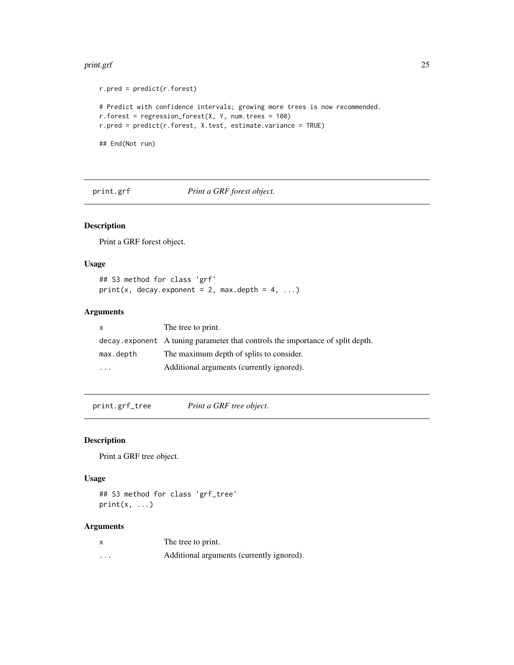#### <span id="page-24-0"></span>print.grf 25

```
r.pred = predict(r.forest)
# Predict with confidence intervals; growing more trees is now recommended.
r.forest = regression_forest(X, Y, num.trees = 100)
r.pred = predict(r.forest, X.test, estimate.variance = TRUE)
## End(Not run)
```
print.grf *Print a GRF forest object.*

# Description

Print a GRF forest object.

# Usage

## S3 method for class 'grf'  $print(x, decay.exponent = 2, max.depth = 4, ...)$ 

# Arguments

| X         | The tree to print.                                                             |
|-----------|--------------------------------------------------------------------------------|
|           | decay exponent A tuning parameter that controls the importance of split depth. |
| max.depth | The maximum depth of splits to consider.                                       |
| $\cdots$  | Additional arguments (currently ignored).                                      |

print.grf\_tree *Print a GRF tree object.*

#### Description

Print a GRF tree object.

#### Usage

## S3 method for class 'grf\_tree'  $print(x, \ldots)$ 

| X        | The tree to print.                        |
|----------|-------------------------------------------|
| $\cdots$ | Additional arguments (currently ignored). |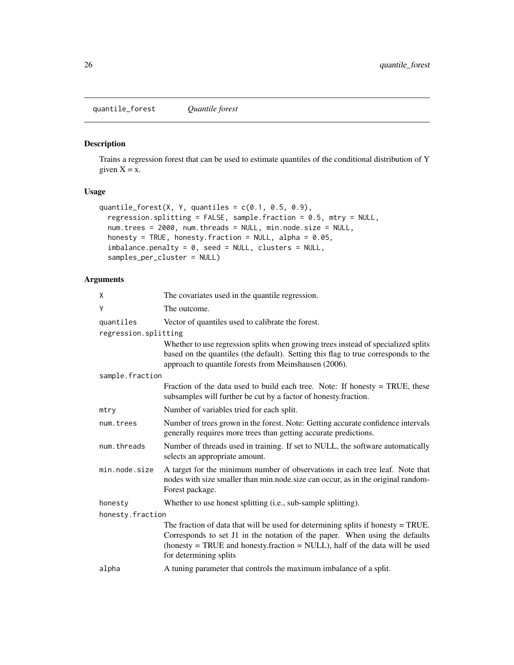<span id="page-25-0"></span>quantile\_forest *Quantile forest*

# Description

Trains a regression forest that can be used to estimate quantiles of the conditional distribution of Y given  $X = x$ .

# Usage

```
quantile_forest(X, Y, quantiles = c(0.1, 0.5, 0.9),
  regression.splitting = FALSE, sample.fraction = 0.5, mtry = NULL,
 num.trees = 2000, num.threads = NULL, min.node.size = NULL,
 honesty = TRUE, honesty.fraction = NULL, alpha = 0.05,
  imbalance.penalty = 0, seed = NULL, clusters = NULL,
  samples_per_cluster = NULL)
```

| Χ                    | The covariates used in the quantile regression.                                                                                                                                                                                                                            |
|----------------------|----------------------------------------------------------------------------------------------------------------------------------------------------------------------------------------------------------------------------------------------------------------------------|
| Ý                    | The outcome.                                                                                                                                                                                                                                                               |
| quantiles            | Vector of quantiles used to calibrate the forest.                                                                                                                                                                                                                          |
| regression.splitting |                                                                                                                                                                                                                                                                            |
|                      | Whether to use regression splits when growing trees instead of specialized splits<br>based on the quantiles (the default). Setting this flag to true corresponds to the<br>approach to quantile forests from Meinshausen (2006).                                           |
| sample.fraction      |                                                                                                                                                                                                                                                                            |
|                      | Fraction of the data used to build each tree. Note: If honesty = TRUE, these<br>subsamples will further be cut by a factor of honesty.fraction.                                                                                                                            |
| mtry                 | Number of variables tried for each split.                                                                                                                                                                                                                                  |
| num.trees            | Number of trees grown in the forest. Note: Getting accurate confidence intervals<br>generally requires more trees than getting accurate predictions.                                                                                                                       |
| num.threads          | Number of threads used in training. If set to NULL, the software automatically<br>selects an appropriate amount.                                                                                                                                                           |
| min.node.size        | A target for the minimum number of observations in each tree leaf. Note that<br>nodes with size smaller than min.node.size can occur, as in the original random-<br>Forest package.                                                                                        |
| honesty              | Whether to use honest splitting (i.e., sub-sample splitting).                                                                                                                                                                                                              |
| honesty.fraction     |                                                                                                                                                                                                                                                                            |
|                      | The fraction of data that will be used for determining splits if honesty $=$ TRUE.<br>Corresponds to set J1 in the notation of the paper. When using the defaults<br>(honesty = TRUE and honesty.fraction = NULL), half of the data will be used<br>for determining splits |
| alpha                | A tuning parameter that controls the maximum imbalance of a split.                                                                                                                                                                                                         |
|                      |                                                                                                                                                                                                                                                                            |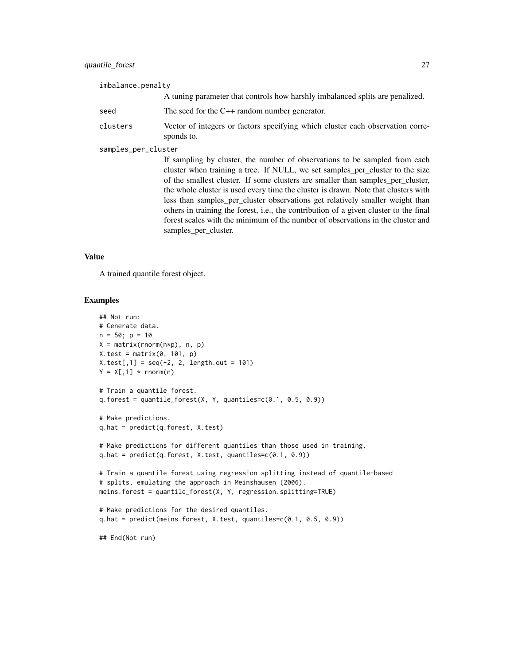# quantile\_forest 27

| imbalance.penalty   |                                                                                                                                                                                                                                                                                                                                      |
|---------------------|--------------------------------------------------------------------------------------------------------------------------------------------------------------------------------------------------------------------------------------------------------------------------------------------------------------------------------------|
|                     | A tuning parameter that controls how harshly imbalanced splits are penalized.                                                                                                                                                                                                                                                        |
| seed                | The seed for the $C_{++}$ random number generator.                                                                                                                                                                                                                                                                                   |
| clusters            | Vector of integers or factors specifying which cluster each observation corre-<br>sponds to.                                                                                                                                                                                                                                         |
| samples_per_cluster |                                                                                                                                                                                                                                                                                                                                      |
|                     | If sampling by cluster, the number of observations to be sampled from each<br>cluster when training a tree. If NULL, we set samples per cluster to the size<br>of the smallest cluster. If some clusters are smaller than samples per cluster,<br>the whole cluster is used every time the cluster is drawn. Note that clusters with |

less than samples\_per\_cluster observations get relatively smaller weight than others in training the forest, i.e., the contribution of a given cluster to the final forest scales with the minimum of the number of observations in the cluster and samples\_per\_cluster.

#### Value

A trained quantile forest object.

```
## Not run:
# Generate data.
n = 50; p = 10X = matrix(rnorm(n*p), n, p)X.test = matrix(0, 101, p)X.test[, 1] = seq(-2, 2, length.out = 101)Y = X[, 1] * <b>rnorm(n)</b># Train a quantile forest.
q.forest = quantile_forest(X, Y, quantiles=c(0.1, 0.5, 0.9))
# Make predictions.
q.hat = predict(q.forest, X.test)
# Make predictions for different quantiles than those used in training.
q.hat = predict(q.forest, X.test, quantiles=c(0.1, 0.9))
# Train a quantile forest using regression splitting instead of quantile-based
# splits, emulating the approach in Meinshausen (2006).
meins.forest = quantile_forest(X, Y, regression.splitting=TRUE)
# Make predictions for the desired quantiles.
q.hat = predict(meins.forest, X.test, quantiles=c(0.1, 0.5, 0.9))
## End(Not run)
```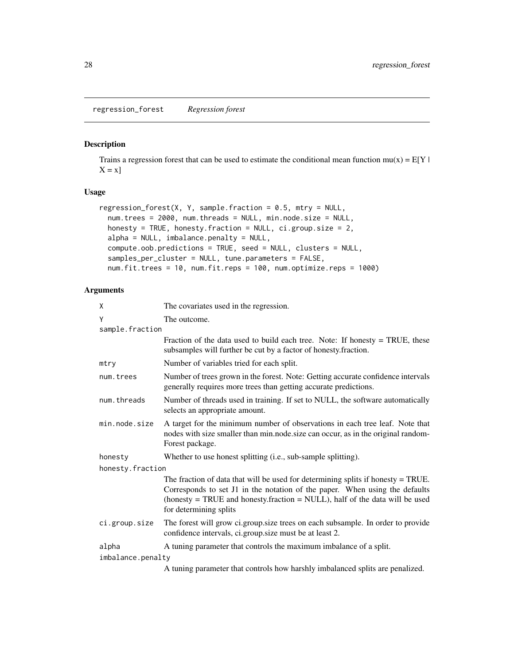<span id="page-27-0"></span>regression\_forest *Regression forest*

#### Description

Trains a regression forest that can be used to estimate the conditional mean function  $mu(x) = E[Y |$  $X = x$ ]

# Usage

```
regression_forest(X, Y, sample.fraction = 0.5, mtry = NULL,
 num.trees = 2000, num.threads = NULL, min.node.size = NULL,
 honesty = TRUE, honesty.fraction = NULL, ci.group.size = 2,
 alpha = NULL, imbalance.penalty = NULL,
 compute.oob.predictions = TRUE, seed = NULL, clusters = NULL,
 samples_per_cluster = NULL, tune.parameters = FALSE,
 num.fit.trees = 10, num.fit.reps = 100, num.optimize.reps = 1000)
```

| X                 | The covariates used in the regression.                                                                                                                                                                                                                                     |
|-------------------|----------------------------------------------------------------------------------------------------------------------------------------------------------------------------------------------------------------------------------------------------------------------------|
| Y                 | The outcome.                                                                                                                                                                                                                                                               |
| sample.fraction   |                                                                                                                                                                                                                                                                            |
|                   | Fraction of the data used to build each tree. Note: If honesty $=$ TRUE, these<br>subsamples will further be cut by a factor of honesty.fraction.                                                                                                                          |
| mtry              | Number of variables tried for each split.                                                                                                                                                                                                                                  |
| num.trees         | Number of trees grown in the forest. Note: Getting accurate confidence intervals<br>generally requires more trees than getting accurate predictions.                                                                                                                       |
| num.threads       | Number of threads used in training. If set to NULL, the software automatically<br>selects an appropriate amount.                                                                                                                                                           |
| min.node.size     | A target for the minimum number of observations in each tree leaf. Note that<br>nodes with size smaller than min.node.size can occur, as in the original random-<br>Forest package.                                                                                        |
| honesty           | Whether to use honest splitting (i.e., sub-sample splitting).                                                                                                                                                                                                              |
| honesty.fraction  |                                                                                                                                                                                                                                                                            |
|                   | The fraction of data that will be used for determining splits if honesty $=$ TRUE.<br>Corresponds to set J1 in the notation of the paper. When using the defaults<br>(honesty = TRUE and honesty.fraction = NULL), half of the data will be used<br>for determining splits |
| ci.group.size     | The forest will grow ci.group.size trees on each subsample. In order to provide<br>confidence intervals, ci.group.size must be at least 2.                                                                                                                                 |
| alpha             | A tuning parameter that controls the maximum imbalance of a split.                                                                                                                                                                                                         |
| imbalance.penalty |                                                                                                                                                                                                                                                                            |
|                   | A tuning parameter that controls how harshly imbalanced splits are penalized.                                                                                                                                                                                              |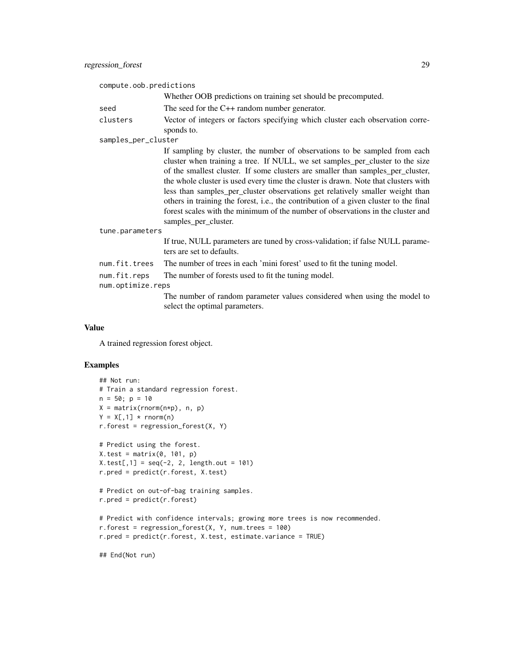| compute.oob.predictions |                                                                                                                                                                                                                                                                                                                                                                                                                                                                                                                                                                                                                           |
|-------------------------|---------------------------------------------------------------------------------------------------------------------------------------------------------------------------------------------------------------------------------------------------------------------------------------------------------------------------------------------------------------------------------------------------------------------------------------------------------------------------------------------------------------------------------------------------------------------------------------------------------------------------|
|                         | Whether OOB predictions on training set should be precomputed.                                                                                                                                                                                                                                                                                                                                                                                                                                                                                                                                                            |
| seed                    | The seed for the $C++$ random number generator.                                                                                                                                                                                                                                                                                                                                                                                                                                                                                                                                                                           |
| clusters                | Vector of integers or factors specifying which cluster each observation corre-<br>sponds to.                                                                                                                                                                                                                                                                                                                                                                                                                                                                                                                              |
| samples_per_cluster     |                                                                                                                                                                                                                                                                                                                                                                                                                                                                                                                                                                                                                           |
|                         | If sampling by cluster, the number of observations to be sampled from each<br>cluster when training a tree. If NULL, we set samples_per_cluster to the size<br>of the smallest cluster. If some clusters are smaller than samples_per_cluster,<br>the whole cluster is used every time the cluster is drawn. Note that clusters with<br>less than samples_per_cluster observations get relatively smaller weight than<br>others in training the forest, i.e., the contribution of a given cluster to the final<br>forest scales with the minimum of the number of observations in the cluster and<br>samples_per_cluster. |
| tune.parameters         |                                                                                                                                                                                                                                                                                                                                                                                                                                                                                                                                                                                                                           |
|                         | If true, NULL parameters are tuned by cross-validation; if false NULL parame-<br>ters are set to defaults.                                                                                                                                                                                                                                                                                                                                                                                                                                                                                                                |
| num.fit.trees           | The number of trees in each 'mini forest' used to fit the tuning model.                                                                                                                                                                                                                                                                                                                                                                                                                                                                                                                                                   |
| num.fit.reps            | The number of forests used to fit the tuning model.                                                                                                                                                                                                                                                                                                                                                                                                                                                                                                                                                                       |
| num.optimize.reps       |                                                                                                                                                                                                                                                                                                                                                                                                                                                                                                                                                                                                                           |
|                         | The number of random parameter values considered when using the model to<br>select the optimal parameters.                                                                                                                                                                                                                                                                                                                                                                                                                                                                                                                |

# Value

A trained regression forest object.

```
## Not run:
# Train a standard regression forest.
n = 50; p = 10X = matrix(rnorm(n*p), n, p)Y = X[, 1] * <b>rnorm(n)</b>r.forest = regression_forest(X, Y)
# Predict using the forest.
X.test = matrix(0, 101, p)X.test[, 1] = seq(-2, 2, length.out = 101)r.pred = predict(r.forest, X.test)
# Predict on out-of-bag training samples.
r.pred = predict(r.forest)
# Predict with confidence intervals; growing more trees is now recommended.
r.forest = regression_forest(X, Y, num.trees = 100)r.pred = predict(r.forest, X.test, estimate.variance = TRUE)
```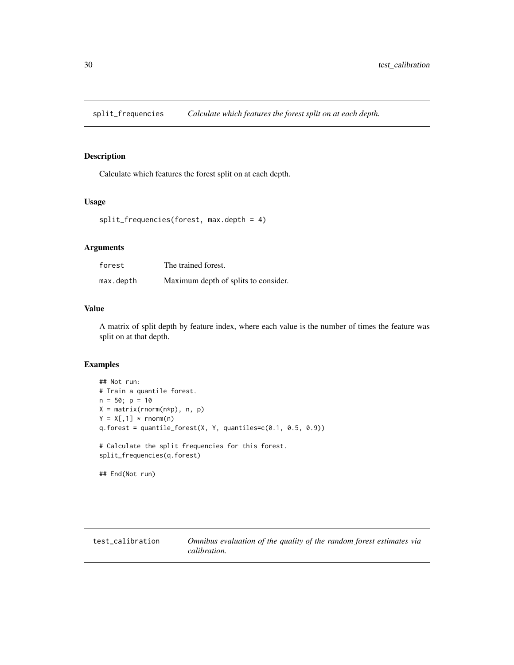<span id="page-29-0"></span>split\_frequencies *Calculate which features the forest split on at each depth.*

# Description

Calculate which features the forest split on at each depth.

#### Usage

```
split_frequencies(forest, max.depth = 4)
```
#### Arguments

| forest    | The trained forest.                  |
|-----------|--------------------------------------|
| max.depth | Maximum depth of splits to consider. |

#### Value

A matrix of split depth by feature index, where each value is the number of times the feature was split on at that depth.

```
## Not run:
# Train a quantile forest.
n = 50; p = 10X = matrix(rnorm(n*p), n, p)Y = X[, 1] * <b>rnorm(n)</b>q.forest = quantile_forest(X, Y, quantiles=c(0.1, 0.5, 0.9))
# Calculate the split frequencies for this forest.
split_frequencies(q.forest)
## End(Not run)
```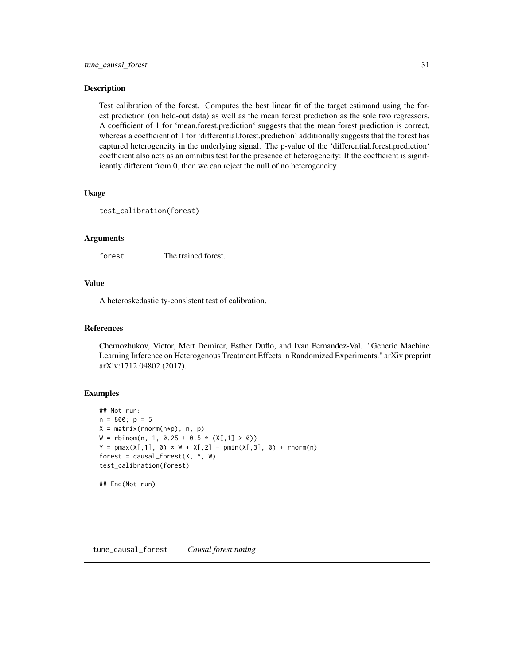#### <span id="page-30-0"></span>Description

Test calibration of the forest. Computes the best linear fit of the target estimand using the forest prediction (on held-out data) as well as the mean forest prediction as the sole two regressors. A coefficient of 1 for 'mean.forest.prediction' suggests that the mean forest prediction is correct, whereas a coefficient of 1 for 'differential.forest.prediction' additionally suggests that the forest has captured heterogeneity in the underlying signal. The p-value of the 'differential.forest.prediction' coefficient also acts as an omnibus test for the presence of heterogeneity: If the coefficient is significantly different from 0, then we can reject the null of no heterogeneity.

#### Usage

```
test_calibration(forest)
```
#### Arguments

forest The trained forest.

#### Value

A heteroskedasticity-consistent test of calibration.

#### References

Chernozhukov, Victor, Mert Demirer, Esther Duflo, and Ivan Fernandez-Val. "Generic Machine Learning Inference on Heterogenous Treatment Effects in Randomized Experiments." arXiv preprint arXiv:1712.04802 (2017).

```
## Not run:
n = 800; p = 5X = matrix(rnorm(n*p), n, p)W = rbinom(n, 1, 0.25 + 0.5 * (X[,1] > 0))
Y = pmax(X[, 1], 0) * W + X[, 2] + pmin(X[, 3], 0) + rnorm(n)forest = causal_fonest(X, Y, W)test_calibration(forest)
## End(Not run)
```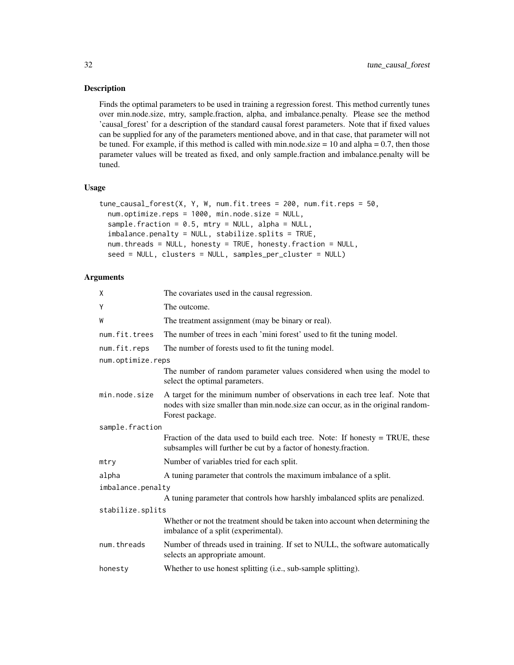# Description

Finds the optimal parameters to be used in training a regression forest. This method currently tunes over min.node.size, mtry, sample.fraction, alpha, and imbalance.penalty. Please see the method 'causal\_forest' for a description of the standard causal forest parameters. Note that if fixed values can be supplied for any of the parameters mentioned above, and in that case, that parameter will not be tuned. For example, if this method is called with min.node.size  $= 10$  and alpha  $= 0.7$ , then those parameter values will be treated as fixed, and only sample.fraction and imbalance.penalty will be tuned.

#### Usage

```
tune_causal_forest(X, Y, W, num.fit.trees = 200, num.fit.reps = 50,
 num.optimize.reps = 1000, min.node.size = NULL,
  sample.fraction = 0.5, mtry = NULL, alpha = NULL,
  imbalance.penalty = NULL, stabilize.splits = TRUE,
  num.threads = NULL, honesty = TRUE, honesty.fraction = NULL,
  seed = NULL, clusters = NULL, samples_per_cluster = NULL)
```

| Χ                 | The covariates used in the causal regression.                                                                                                                                       |
|-------------------|-------------------------------------------------------------------------------------------------------------------------------------------------------------------------------------|
| Υ                 | The outcome.                                                                                                                                                                        |
| W                 | The treatment assignment (may be binary or real).                                                                                                                                   |
| num.fit.trees     | The number of trees in each 'mini forest' used to fit the tuning model.                                                                                                             |
| num.fit.reps      | The number of forests used to fit the tuning model.                                                                                                                                 |
| num.optimize.reps |                                                                                                                                                                                     |
|                   | The number of random parameter values considered when using the model to<br>select the optimal parameters.                                                                          |
| min.node.size     | A target for the minimum number of observations in each tree leaf. Note that<br>nodes with size smaller than min.node.size can occur, as in the original random-<br>Forest package. |
| sample.fraction   |                                                                                                                                                                                     |
|                   | Fraction of the data used to build each tree. Note: If honesty $=$ TRUE, these<br>subsamples will further be cut by a factor of honesty.fraction.                                   |
| mtry              | Number of variables tried for each split.                                                                                                                                           |
| alpha             | A tuning parameter that controls the maximum imbalance of a split.                                                                                                                  |
| imbalance.penalty |                                                                                                                                                                                     |
|                   | A tuning parameter that controls how harshly imbalanced splits are penalized.                                                                                                       |
| stabilize.splits  |                                                                                                                                                                                     |
|                   | Whether or not the treatment should be taken into account when determining the<br>imbalance of a split (experimental).                                                              |
| num.threads       | Number of threads used in training. If set to NULL, the software automatically<br>selects an appropriate amount.                                                                    |
| honesty           | Whether to use honest splitting (i.e., sub-sample splitting).                                                                                                                       |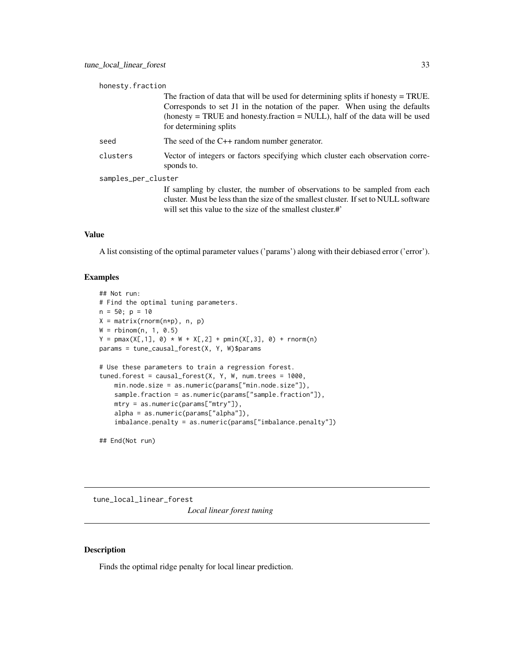<span id="page-32-0"></span>

| honesty.fraction                                                                                                                                                                                                                                                           |  |
|----------------------------------------------------------------------------------------------------------------------------------------------------------------------------------------------------------------------------------------------------------------------------|--|
| The fraction of data that will be used for determining splits if honesty $=$ TRUE.<br>Corresponds to set J1 in the notation of the paper. When using the defaults<br>(honesty = TRUE and honesty.fraction = NULL), half of the data will be used<br>for determining splits |  |
| The seed of the $C++$ random number generator.                                                                                                                                                                                                                             |  |
| Vector of integers or factors specifying which cluster each observation corre-<br>sponds to.                                                                                                                                                                               |  |
| samples_per_cluster                                                                                                                                                                                                                                                        |  |
| If sampling by cluster, the number of observations to be sampled from each<br>cluster. Must be less than the size of the smallest cluster. If set to NULL software<br>will set this value to the size of the smallest cluster.#                                            |  |
|                                                                                                                                                                                                                                                                            |  |

#### Value

A list consisting of the optimal parameter values ('params') along with their debiased error ('error').

# Examples

```
## Not run:
# Find the optimal tuning parameters.
n = 50; p = 10X = matrix(rnorm(n*p), n, p)W = rbinom(n, 1, 0.5)Y = pmax(X[, 1], 0) * W + X[, 2] + pmin(X[, 3], 0) + rnorm(n)params = tune_causal_forest(X, Y, W)$params
# Use these parameters to train a regression forest.
tuned.forest = causal_forest(X, Y, W, num.trees = 1000,min.node.size = as.numeric(params["min.node.size"]),
   sample.fraction = as.numeric(params["sample.fraction"]),
   mtry = as.numeric(params["mtry"]),
   alpha = as.numeric(params["alpha"]),
    imbalance.penalty = as.numeric(params["imbalance.penalty"])
```
## End(Not run)

tune\_local\_linear\_forest *Local linear forest tuning*

# Description

Finds the optimal ridge penalty for local linear prediction.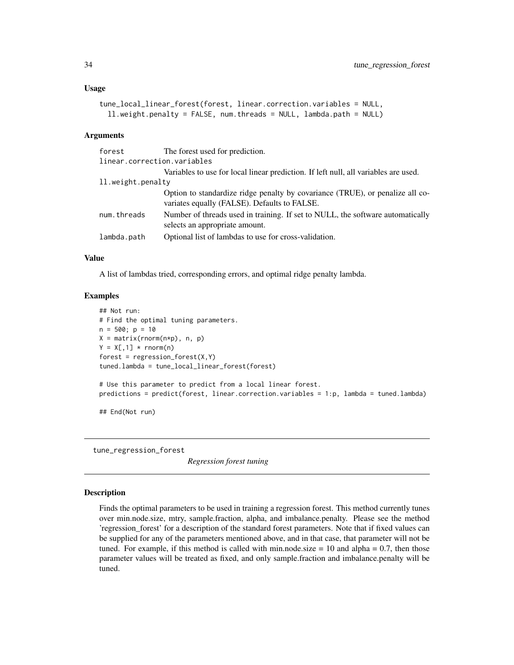```
tune_local_linear_forest(forest, linear.correction.variables = NULL,
  ll.weight.penalty = FALSE, num.threads = NULL, lambda.path = NULL)
```
#### Arguments

| forest                      | The forest used for prediction.                                                                                               |
|-----------------------------|-------------------------------------------------------------------------------------------------------------------------------|
| linear.correction.variables |                                                                                                                               |
|                             | Variables to use for local linear prediction. If left null, all variables are used.                                           |
| 11. weight. penalty         |                                                                                                                               |
|                             | Option to standardize ridge penalty by covariance (TRUE), or penalize all co-<br>variates equally (FALSE). Defaults to FALSE. |
| num.threads                 | Number of threads used in training. If set to NULL, the software automatically<br>selects an appropriate amount.              |
| lambda.path                 | Optional list of lambdas to use for cross-validation.                                                                         |

#### Value

A list of lambdas tried, corresponding errors, and optimal ridge penalty lambda.

#### Examples

```
## Not run:
# Find the optimal tuning parameters.
n = 500; p = 10X = matrix(rnorm(n*p), n, p)Y = X[, 1] * <b>rnorm(n)</b>forest = regression_fonest(X,Y)tuned.lambda = tune_local_linear_forest(forest)
# Use this parameter to predict from a local linear forest.
predictions = predict(forest, linear.correction.variables = 1:p, lambda = tuned.lambda)
## End(Not run)
```
tune\_regression\_forest

*Regression forest tuning*

#### **Description**

Finds the optimal parameters to be used in training a regression forest. This method currently tunes over min.node.size, mtry, sample.fraction, alpha, and imbalance.penalty. Please see the method 'regression\_forest' for a description of the standard forest parameters. Note that if fixed values can be supplied for any of the parameters mentioned above, and in that case, that parameter will not be tuned. For example, if this method is called with min.node.size  $= 10$  and alpha  $= 0.7$ , then those parameter values will be treated as fixed, and only sample.fraction and imbalance.penalty will be tuned.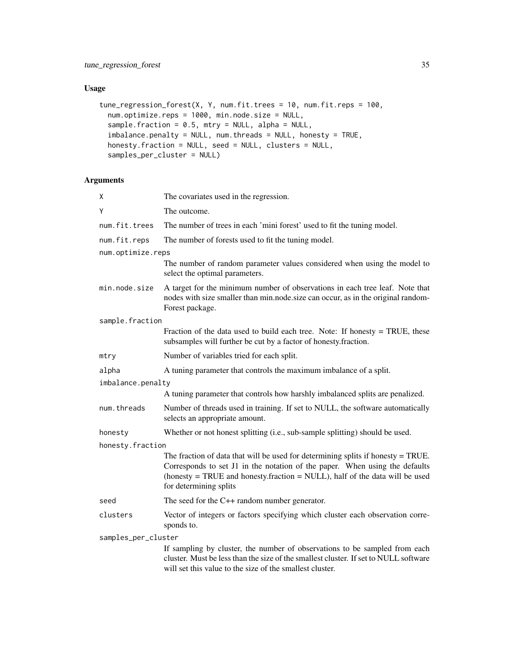# Usage

```
tune_regression_forest(X, Y, num.fit.trees = 10, num.fit.reps = 100,
 num.optimize.reps = 1000, min.node.size = NULL,
  sample.fraction = 0.5, mtry = NULL, alpha = NULL,
  imbalance.penalty = NULL, num.threads = NULL, honesty = TRUE,
 honesty.fraction = NULL, seed = NULL, clusters = NULL,
  samples_per_cluster = NULL)
```

| χ                   | The covariates used in the regression.                                                                                                                                                                                                                                     |
|---------------------|----------------------------------------------------------------------------------------------------------------------------------------------------------------------------------------------------------------------------------------------------------------------------|
| Y                   | The outcome.                                                                                                                                                                                                                                                               |
| num.fit.trees       | The number of trees in each 'mini forest' used to fit the tuning model.                                                                                                                                                                                                    |
| num.fit.reps        | The number of forests used to fit the tuning model.                                                                                                                                                                                                                        |
| num.optimize.reps   |                                                                                                                                                                                                                                                                            |
|                     | The number of random parameter values considered when using the model to<br>select the optimal parameters.                                                                                                                                                                 |
| min.node.size       | A target for the minimum number of observations in each tree leaf. Note that<br>nodes with size smaller than min.node.size can occur, as in the original random-<br>Forest package.                                                                                        |
| sample.fraction     |                                                                                                                                                                                                                                                                            |
|                     | Fraction of the data used to build each tree. Note: If honesty $=$ TRUE, these<br>subsamples will further be cut by a factor of honesty.fraction.                                                                                                                          |
| mtry                | Number of variables tried for each split.                                                                                                                                                                                                                                  |
| alpha               | A tuning parameter that controls the maximum imbalance of a split.                                                                                                                                                                                                         |
| imbalance.penalty   |                                                                                                                                                                                                                                                                            |
|                     | A tuning parameter that controls how harshly imbalanced splits are penalized.                                                                                                                                                                                              |
| num.threads         | Number of threads used in training. If set to NULL, the software automatically<br>selects an appropriate amount.                                                                                                                                                           |
| honesty             | Whether or not honest splitting (i.e., sub-sample splitting) should be used.                                                                                                                                                                                               |
| honesty.fraction    |                                                                                                                                                                                                                                                                            |
|                     | The fraction of data that will be used for determining splits if honesty $=$ TRUE.<br>Corresponds to set J1 in the notation of the paper. When using the defaults<br>(honesty = TRUE and honesty.fraction = NULL), half of the data will be used<br>for determining splits |
| seed                | The seed for the C++ random number generator.                                                                                                                                                                                                                              |
| clusters            | Vector of integers or factors specifying which cluster each observation corre-<br>sponds to.                                                                                                                                                                               |
| samples_per_cluster |                                                                                                                                                                                                                                                                            |
|                     | If sampling by cluster, the number of observations to be sampled from each<br>cluster. Must be less than the size of the smallest cluster. If set to NULL software<br>will set this value to the size of the smallest cluster.                                             |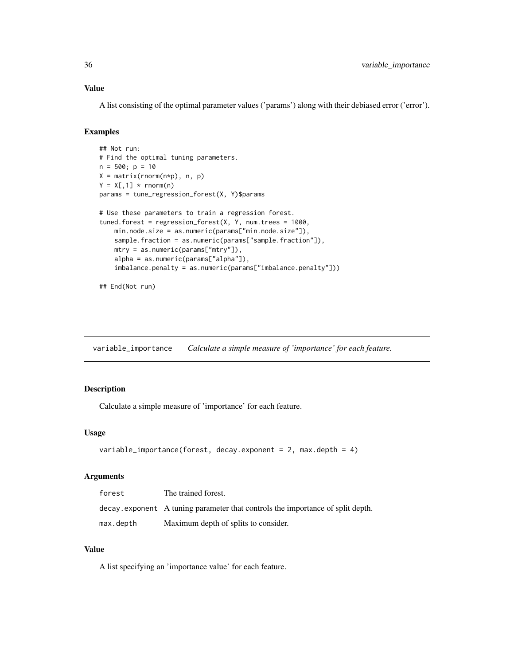#### <span id="page-35-0"></span>Value

A list consisting of the optimal parameter values ('params') along with their debiased error ('error').

#### Examples

```
## Not run:
# Find the optimal tuning parameters.
n = 500; p = 10X = matrix(rnorm(n*p), n, p)Y = X[, 1] * <b>rnorm(n)</b>params = tune_regression_forest(X, Y)$params
# Use these parameters to train a regression forest.
tuned.forest = regression_forest(X, Y, num.trees = 1000,
   min.node.size = as.numeric(params["min.node.size"]),
    sample.fraction = as.numeric(params["sample.fraction"]),
   mtry = as.numeric(params["mtry"]),
    alpha = as.numeric(params["alpha"]),
    imbalance.penalty = as.numeric(params["imbalance.penalty"]))
```

```
## End(Not run)
```
variable\_importance *Calculate a simple measure of 'importance' for each feature.*

# Description

Calculate a simple measure of 'importance' for each feature.

#### Usage

```
variable_importance(forest, decay.exponent = 2, max.depth = 4)
```
### Arguments

| forest    | The trained forest.                                                            |
|-----------|--------------------------------------------------------------------------------|
|           | decay exponent A tuning parameter that controls the importance of split depth. |
| max.depth | Maximum depth of splits to consider.                                           |

# Value

A list specifying an 'importance value' for each feature.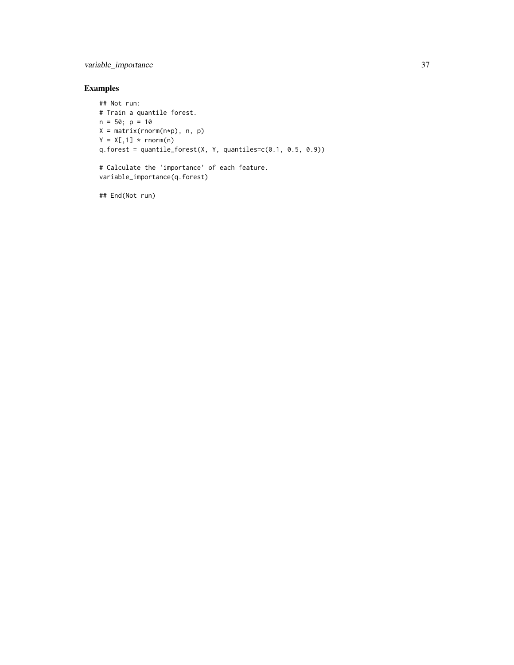variable\_importance 37

# Examples

```
## Not run:
# Train a quantile forest.
n = 50; p = 10X = matrix(rnorm(n*p), n, p)Y = X[, 1] * <b>rnorm(n)</b>q.forest = quantile_forest(X, Y, quantiles=c(0.1, 0.5, 0.9))# Calculate the 'importance' of each feature.
```
variable\_importance(q.forest)

## End(Not run)